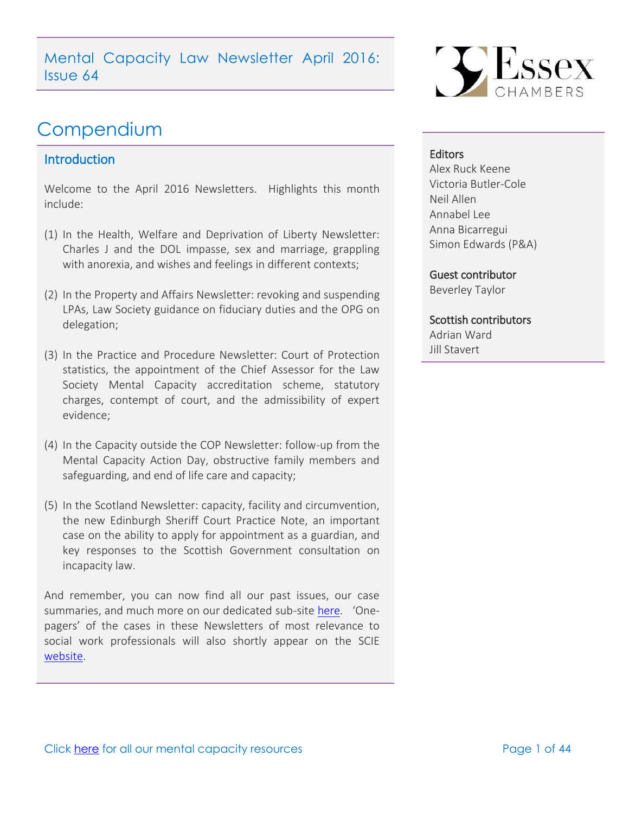Mental Capacity Law Newsletter April 2016: Issue 64

# Compendium

### <span id="page-0-0"></span>**Introduction**

Welcome to the April 2016 Newsletters. Highlights this month include:

- (1) In the Health, Welfare and Deprivation of Liberty Newsletter: Charles J and the DOL impasse, sex and marriage, grappling with anorexia, and wishes and feelings in different contexts;
- (2) In the Property and Affairs Newsletter: revoking and suspending LPAs, Law Society guidance on fiduciary duties and the OPG on delegation;
- (3) In the Practice and Procedure Newsletter: Court of Protection statistics, the appointment of the Chief Assessor for the Law Society Mental Capacity accreditation scheme, statutory charges, contempt of court, and the admissibility of expert evidence;
- (4) In the Capacity outside the COP Newsletter: follow-up from the Mental Capacity Action Day, obstructive family members and safeguarding, and end of life care and capacity;
- (5) In the Scotland Newsletter: capacity, facility and circumvention, the new Edinburgh Sheriff Court Practice Note, an important case on the ability to apply for appointment as a guardian, and key responses to the Scottish Government consultation on incapacity law.

And remember, you can now find all our past issues, our case summaries, and much more on our dedicated sub-site [here](http://www.39essex.com/resources-and-training/mental-capacity-law/). 'Onepagers' of the cases in these Newsletters of most relevance to social work professionals will also shortly appear on the SCIE [website.](http://www.scie.org.uk/mca-directory/)



#### **Editors**

Alex Ruck Keene Victoria Butler-Cole Neil Allen Annabel Lee Anna Bicarregui Simon Edwards (P&A)

Guest contributor

Beverley Taylor

### Scottish contributors Adrian Ward

Jill Stavert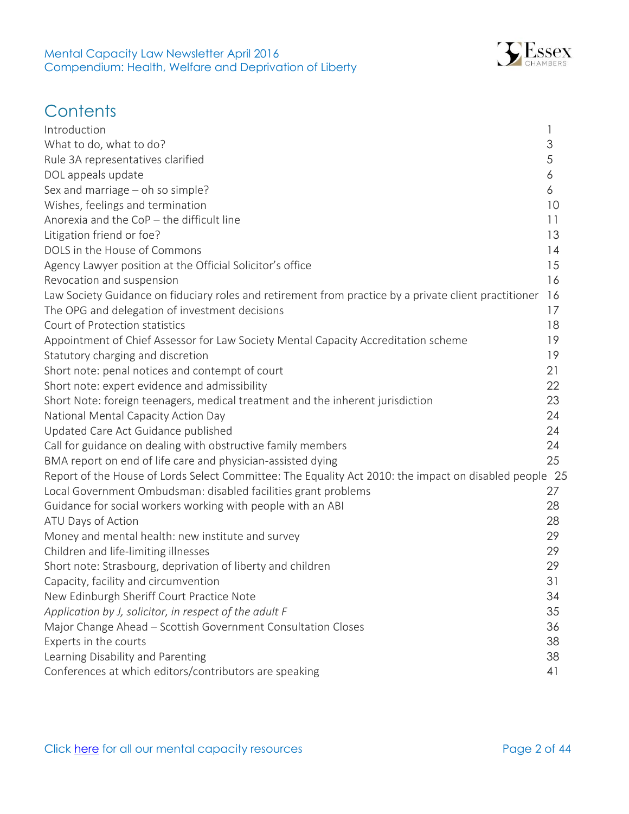

# **Contents**

<span id="page-1-0"></span>

| Introduction                                                                                           |    |
|--------------------------------------------------------------------------------------------------------|----|
| What to do, what to do?                                                                                | 3  |
| Rule 3A representatives clarified                                                                      | 5  |
| DOL appeals update                                                                                     | 6  |
| Sex and marriage - oh so simple?                                                                       | 6  |
| Wishes, feelings and termination                                                                       | 10 |
| Anorexia and the $CoP$ – the difficult line                                                            | 11 |
| Litigation friend or foe?                                                                              | 13 |
| DOLS in the House of Commons                                                                           | 14 |
| Agency Lawyer position at the Official Solicitor's office                                              | 15 |
| Revocation and suspension                                                                              | 16 |
| Law Society Guidance on fiduciary roles and retirement from practice by a private client practitioner  | 16 |
| The OPG and delegation of investment decisions                                                         | 17 |
| Court of Protection statistics                                                                         | 18 |
| Appointment of Chief Assessor for Law Society Mental Capacity Accreditation scheme                     | 19 |
| Statutory charging and discretion                                                                      | 19 |
| Short note: penal notices and contempt of court                                                        | 21 |
| Short note: expert evidence and admissibility                                                          | 22 |
| Short Note: foreign teenagers, medical treatment and the inherent jurisdiction                         | 23 |
| National Mental Capacity Action Day                                                                    | 24 |
| Updated Care Act Guidance published                                                                    | 24 |
| Call for guidance on dealing with obstructive family members                                           | 24 |
| BMA report on end of life care and physician-assisted dying                                            | 25 |
| Report of the House of Lords Select Committee: The Equality Act 2010: the impact on disabled people 25 |    |
| Local Government Ombudsman: disabled facilities grant problems                                         | 27 |
| Guidance for social workers working with people with an ABI                                            | 28 |
| ATU Days of Action                                                                                     | 28 |
| Money and mental health: new institute and survey                                                      | 29 |
| Children and life-limiting illnesses                                                                   | 29 |
| Short note: Strasbourg, deprivation of liberty and children                                            | 29 |
| Capacity, facility and circumvention                                                                   | 31 |
| New Edinburgh Sheriff Court Practice Note                                                              | 34 |
| Application by J, solicitor, in respect of the adult F                                                 | 35 |
| Major Change Ahead - Scottish Government Consultation Closes                                           | 36 |
| Experts in the courts                                                                                  | 38 |
| Learning Disability and Parenting                                                                      | 38 |
| Conferences at which editors/contributors are speaking                                                 | 41 |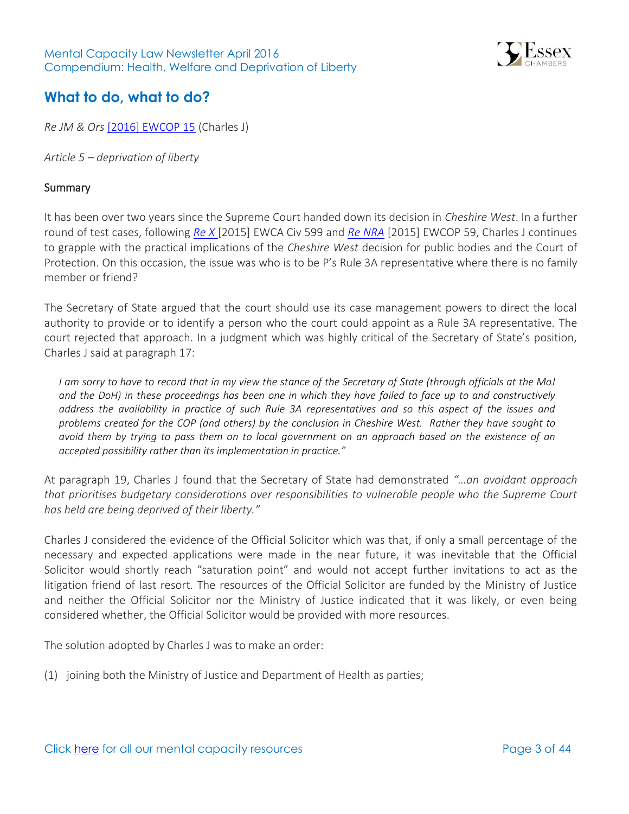

# **What to do, what to do?**

*Re JM & Ors* [\[2016\] EWCOP 15](http://www.bailii.org/ew/cases/EWCOP/2016/15.html) (Charles J)

*Article 5 – deprivation of liberty* 

#### **Summary**

It has been over two years since the Supreme Court handed down its decision in *Cheshire West*. In a further round of test cases, following *[Re X](http://www.39essex.com/cop_cases/re-x/)* [2015] EWCA Civ 599 and *[Re NRA](http://www.39essex.com/cop_cases/re-nra-ors/)* [2015] EWCOP 59, Charles J continues to grapple with the practical implications of the *Cheshire West* decision for public bodies and the Court of Protection. On this occasion, the issue was who is to be P's Rule 3A representative where there is no family member or friend?

The Secretary of State argued that the court should use its case management powers to direct the local authority to provide or to identify a person who the court could appoint as a Rule 3A representative. The court rejected that approach. In a judgment which was highly critical of the Secretary of State's position, Charles J said at paragraph 17:

*I am sorry to have to record that in my view the stance of the Secretary of State (through officials at the MoJ and the DoH) in these proceedings has been one in which they have failed to face up to and constructively address the availability in practice of such Rule 3A representatives and so this aspect of the issues and problems created for the COP (and others) by the conclusion in Cheshire West. Rather they have sought to avoid them by trying to pass them on to local government on an approach based on the existence of an accepted possibility rather than its implementation in practice."*

At paragraph 19, Charles J found that the Secretary of State had demonstrated *"…an avoidant approach that prioritises budgetary considerations over responsibilities to vulnerable people who the Supreme Court has held are being deprived of their liberty."*

Charles J considered the evidence of the Official Solicitor which was that, if only a small percentage of the necessary and expected applications were made in the near future, it was inevitable that the Official Solicitor would shortly reach "saturation point" and would not accept further invitations to act as the litigation friend of last resort. The resources of the Official Solicitor are funded by the Ministry of Justice and neither the Official Solicitor nor the Ministry of Justice indicated that it was likely, or even being considered whether, the Official Solicitor would be provided with more resources.

The solution adopted by Charles J was to make an order:

(1) joining both the Ministry of Justice and Department of Health as parties;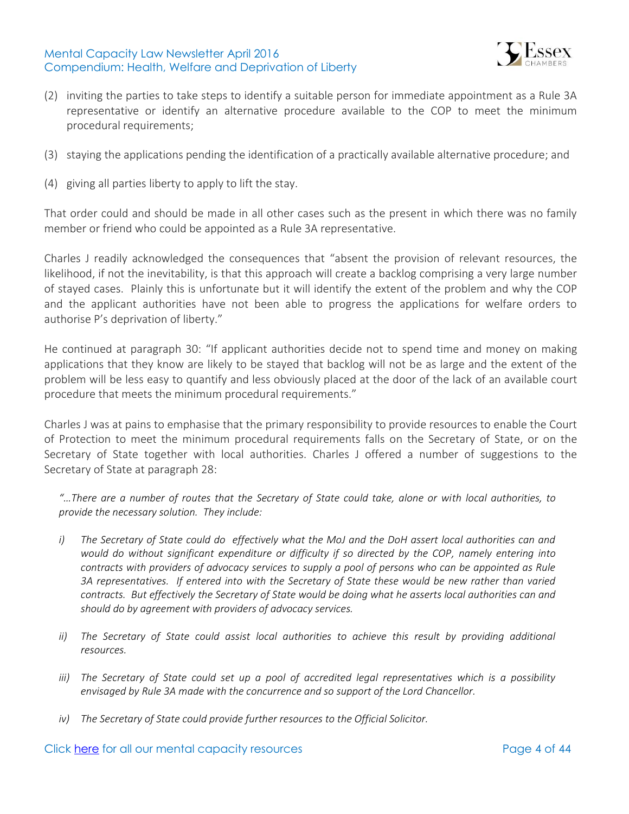

- (2) inviting the parties to take steps to identify a suitable person for immediate appointment as a Rule 3A representative or identify an alternative procedure available to the COP to meet the minimum procedural requirements;
- (3) staying the applications pending the identification of a practically available alternative procedure; and
- (4) giving all parties liberty to apply to lift the stay.

That order could and should be made in all other cases such as the present in which there was no family member or friend who could be appointed as a Rule 3A representative.

Charles J readily acknowledged the consequences that "absent the provision of relevant resources, the likelihood, if not the inevitability, is that this approach will create a backlog comprising a very large number of stayed cases. Plainly this is unfortunate but it will identify the extent of the problem and why the COP and the applicant authorities have not been able to progress the applications for welfare orders to authorise P's deprivation of liberty."

He continued at paragraph 30: "If applicant authorities decide not to spend time and money on making applications that they know are likely to be stayed that backlog will not be as large and the extent of the problem will be less easy to quantify and less obviously placed at the door of the lack of an available court procedure that meets the minimum procedural requirements."

Charles J was at pains to emphasise that the primary responsibility to provide resources to enable the Court of Protection to meet the minimum procedural requirements falls on the Secretary of State, or on the Secretary of State together with local authorities. Charles J offered a number of suggestions to the Secretary of State at paragraph 28:

*"…There are a number of routes that the Secretary of State could take, alone or with local authorities, to provide the necessary solution. They include:*

- *i) The Secretary of State could do effectively what the MoJ and the DoH assert local authorities can and would do without significant expenditure or difficulty if so directed by the COP, namely entering into contracts with providers of advocacy services to supply a pool of persons who can be appointed as Rule 3A representatives. If entered into with the Secretary of State these would be new rather than varied contracts. But effectively the Secretary of State would be doing what he asserts local authorities can and should do by agreement with providers of advocacy services.*
- *ii) The Secretary of State could assist local authorities to achieve this result by providing additional resources.*
- *iii) The Secretary of State could set up a pool of accredited legal representatives which is a possibility envisaged by Rule 3A made with the concurrence and so support of the Lord Chancellor.*
- *iv) The Secretary of State could provide further resources to the Official Solicitor.*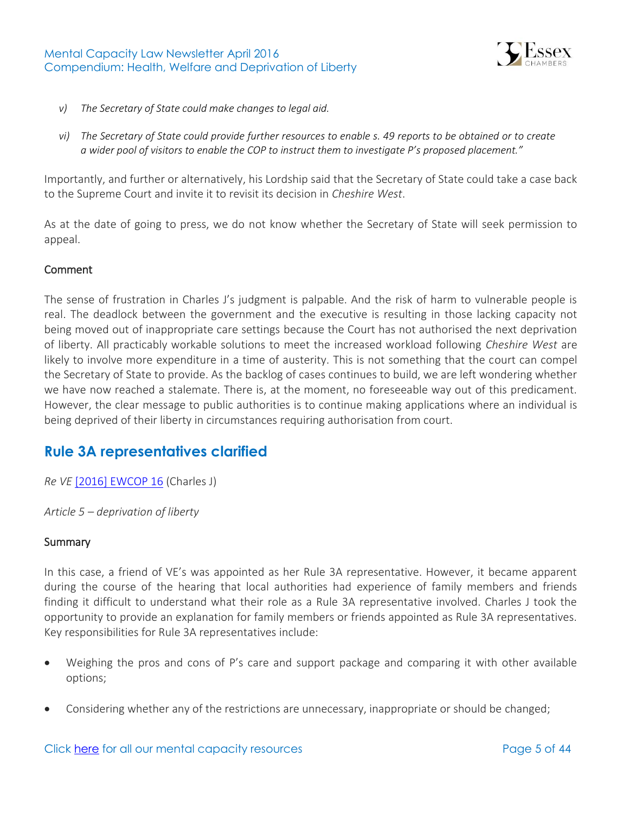

- *v) The Secretary of State could make changes to legal aid.*
- *vi) The Secretary of State could provide further resources to enable s. 49 reports to be obtained or to create a wider pool of visitors to enable the COP to instruct them to investigate P's proposed placement."*

Importantly, and further or alternatively, his Lordship said that the Secretary of State could take a case back to the Supreme Court and invite it to revisit its decision in *Cheshire West*.

As at the date of going to press, we do not know whether the Secretary of State will seek permission to appeal.

### Comment

The sense of frustration in Charles J's judgment is palpable. And the risk of harm to vulnerable people is real. The deadlock between the government and the executive is resulting in those lacking capacity not being moved out of inappropriate care settings because the Court has not authorised the next deprivation of liberty. All practicably workable solutions to meet the increased workload following *Cheshire West* are likely to involve more expenditure in a time of austerity. This is not something that the court can compel the Secretary of State to provide. As the backlog of cases continues to build, we are left wondering whether we have now reached a stalemate. There is, at the moment, no foreseeable way out of this predicament. However, the clear message to public authorities is to continue making applications where an individual is being deprived of their liberty in circumstances requiring authorisation from court.

### <span id="page-4-0"></span>**Rule 3A representatives clarified**

*Re VE* [\[2016\] EWCOP 16](http://www.bailii.org/ew/cases/EWCOP/2016/16.html) (Charles J)

*Article 5 – deprivation of liberty* 

#### **Summary**

In this case, a friend of VE's was appointed as her Rule 3A representative. However, it became apparent during the course of the hearing that local authorities had experience of family members and friends finding it difficult to understand what their role as a Rule 3A representative involved. Charles J took the opportunity to provide an explanation for family members or friends appointed as Rule 3A representatives. Key responsibilities for Rule 3A representatives include:

- Weighing the pros and cons of P's care and support package and comparing it with other available options;
- Considering whether any of the restrictions are unnecessary, inappropriate or should be changed;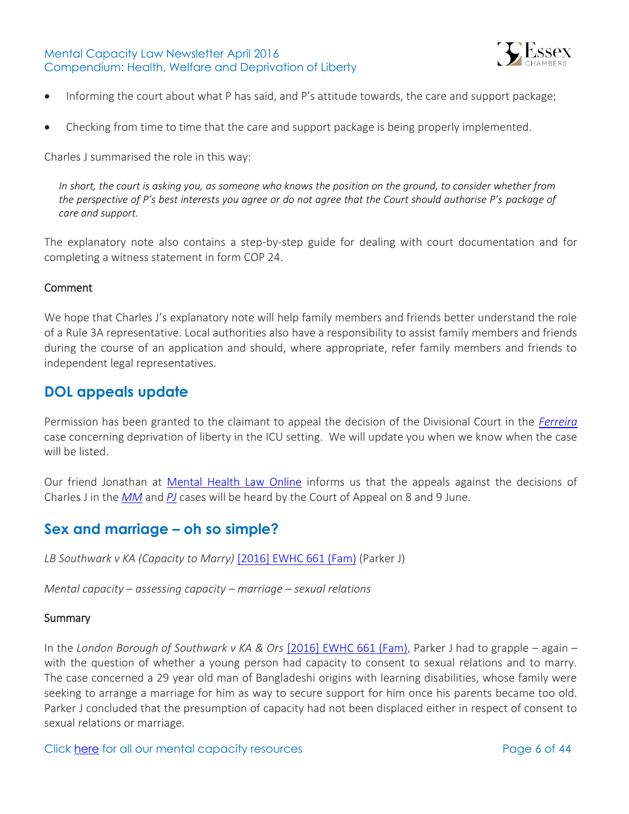

- Informing the court about what P has said, and P's attitude towards, the care and support package;
- Checking from time to time that the care and support package is being properly implemented.

Charles J summarised the role in this way:

*In short, the court is asking you, as someone who knows the position on the ground, to consider whether from the perspective of P's best interests you agree or do not agree that the Court should authorise P's package of care and support.*

The explanatory note also contains a step-by-step guide for dealing with court documentation and for completing a witness statement in form COP 24.

### Comment

We hope that Charles J's explanatory note will help family members and friends better understand the role of a Rule 3A representative. Local authorities also have a responsibility to assist family members and friends during the course of an application and should, where appropriate, refer family members and friends to independent legal representatives.

### <span id="page-5-0"></span>**DOL appeals update**

Permission has been granted to the claimant to appeal the decision of the Divisional Court in the *[Ferreira](http://www.39essex.com/cop_cases/r-ferreira-v-hm-senior-coroner-for-inner-south-london/)* case concerning deprivation of liberty in the ICU setting. We will update you when we know when the case will be listed.

Our friend Jonathan at [Mental Health Law Online](http://www.mentalhealthlaw.co.uk/Main_Page) informs us that the appeals against the decisions of Charles J in the *[MM](http://www.39essex.com/cop_cases/mm-v-wl-clinic-and-mhs/)* and *[PJ](http://www.39essex.com/cop_cases/pj-v-a-local-health-board-and-others/)* cases will be heard by the Court of Appeal on 8 and 9 June.

### <span id="page-5-1"></span>**Sex and marriage – oh so simple?**

*LB Southwark v KA (Capacity to Marry)* [\[2016\] EWHC 661 \(Fam\)](http://www.bailii.org/ew/cases/EWHC/Fam/2016/661.html) (Parker J)

*Mental capacity – assessing capacity – marriage – sexual relations* 

#### **Summary**

In the *London Borough of Southwark v KA & Ors* [\[2016\] EWHC 661 \(Fam\),](http://www.bailii.org/ew/cases/EWHC/Fam/2016/661.html) Parker J had to grapple – again – with the question of whether a young person had capacity to consent to sexual relations and to marry. The case concerned a 29 year old man of Bangladeshi origins with learning disabilities, whose family were seeking to arrange a marriage for him as way to secure support for him once his parents became too old. Parker J concluded that the presumption of capacity had not been displaced either in respect of consent to sexual relations or marriage.

Click [here](http://www.39essex.com/resources-and-training/mental-capacity-law/) for all our mental capacity resources example that the page 6 of 44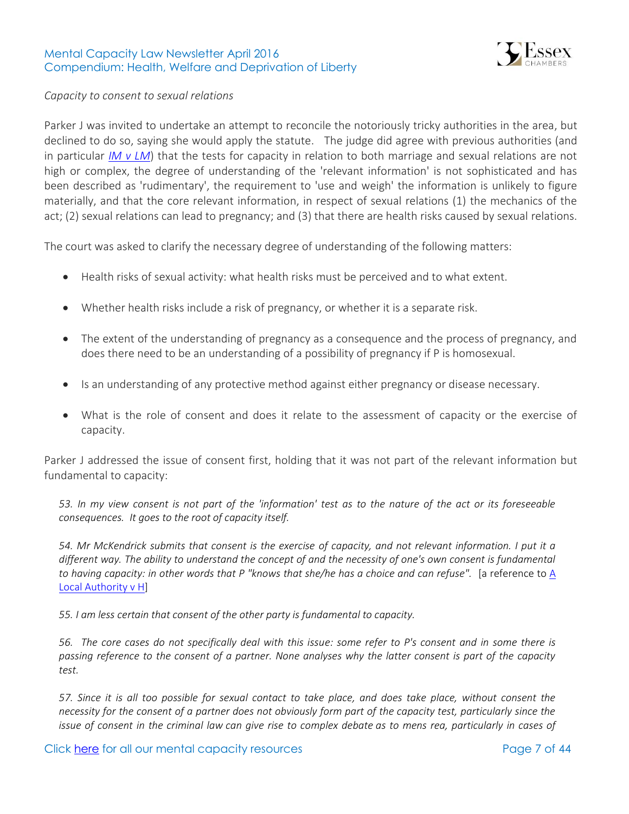

### *Capacity to consent to sexual relations*

Parker J was invited to undertake an attempt to reconcile the notoriously tricky authorities in the area, but declined to do so, saying she would apply the statute. The judge did agree with previous authorities (and in particular *[IM v LM](http://www.39essex.com/cop_cases/im-v-lm-and-others/)*) that the tests for capacity in relation to both marriage and sexual relations are not high or complex, the degree of understanding of the 'relevant information' is not sophisticated and has been described as 'rudimentary', the requirement to 'use and weigh' the information is unlikely to figure materially, and that the core relevant information, in respect of sexual relations (1) the mechanics of the act; (2) sexual relations can lead to pregnancy; and (3) that there are health risks caused by sexual relations.

The court was asked to clarify the necessary degree of understanding of the following matters:

- Health risks of sexual activity: what health risks must be perceived and to what extent.
- Whether health risks include a risk of pregnancy, or whether it is a separate risk.
- The extent of the understanding of pregnancy as a consequence and the process of pregnancy, and does there need to be an understanding of a possibility of pregnancy if P is homosexual.
- Is an understanding of any protective method against either pregnancy or disease necessary.
- What is the role of consent and does it relate to the assessment of capacity or the exercise of capacity.

Parker J addressed the issue of consent first, holding that it was not part of the relevant information but fundamental to capacity:

*53. In my view consent is not part of the 'information' test as to the nature of the act or its foreseeable consequences. It goes to the root of capacity itself.*

*54. Mr McKendrick submits that consent is the exercise of capacity, and not relevant information. I put it a different way. The ability to understand the concept of and the necessity of one's own consent is fundamental to having capacity: in other words that P "knows that she/he has a choice and can refuse".* [a reference to A [Local Authority v H\]](http://www.39essex.com/cop_cases/a-local-authority-v-h/)

*55. I am less certain that consent of the other party is fundamental to capacity.* 

*56. The core cases do not specifically deal with this issue: some refer to P's consent and in some there is passing reference to the consent of a partner. None analyses why the latter consent is part of the capacity test.* 

*57. Since it is all too possible for sexual contact to take place, and does take place, without consent the necessity for the consent of a partner does not obviously form part of the capacity test, particularly since the issue of consent in the criminal law can give rise to complex debate as to mens rea, particularly in cases of*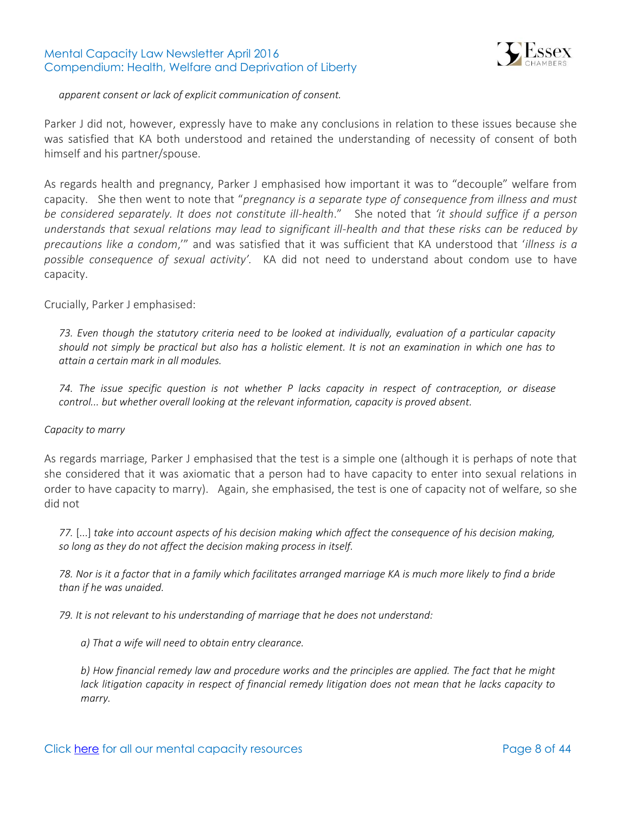

*apparent consent or lack of explicit communication of consent.* 

Parker J did not, however, expressly have to make any conclusions in relation to these issues because she was satisfied that KA both understood and retained the understanding of necessity of consent of both himself and his partner/spouse.

As regards health and pregnancy, Parker J emphasised how important it was to "decouple" welfare from capacity. She then went to note that "*pregnancy is a separate type of consequence from illness and must be considered separately. It does not constitute ill-health*." She noted that *'it should suffice if a person understands that sexual relations may lead to significant ill-health and that these risks can be reduced by precautions like a condom*,'" and was satisfied that it was sufficient that KA understood that '*illness is a possible consequence of sexual activity'.* KA did not need to understand about condom use to have capacity.

Crucially, Parker J emphasised:

*73. Even though the statutory criteria need to be looked at individually, evaluation of a particular capacity should not simply be practical but also has a holistic element. It is not an examination in which one has to attain a certain mark in all modules.* 

*74. The issue specific question is not whether P lacks capacity in respect of contraception, or disease control... but whether overall looking at the relevant information, capacity is proved absent.*

#### *Capacity to marry*

As regards marriage, Parker J emphasised that the test is a simple one (although it is perhaps of note that she considered that it was axiomatic that a person had to have capacity to enter into sexual relations in order to have capacity to marry). Again, she emphasised, the test is one of capacity not of welfare, so she did not

*77.* [...] *take into account aspects of his decision making which affect the consequence of his decision making, so long as they do not affect the decision making process in itself.*

*78. Nor is it a factor that in a family which facilitates arranged marriage KA is much more likely to find a bride than if he was unaided.* 

*79. It is not relevant to his understanding of marriage that he does not understand:* 

*a) That a wife will need to obtain entry clearance.* 

*b) How financial remedy law and procedure works and the principles are applied. The fact that he might lack litigation capacity in respect of financial remedy litigation does not mean that he lacks capacity to marry.*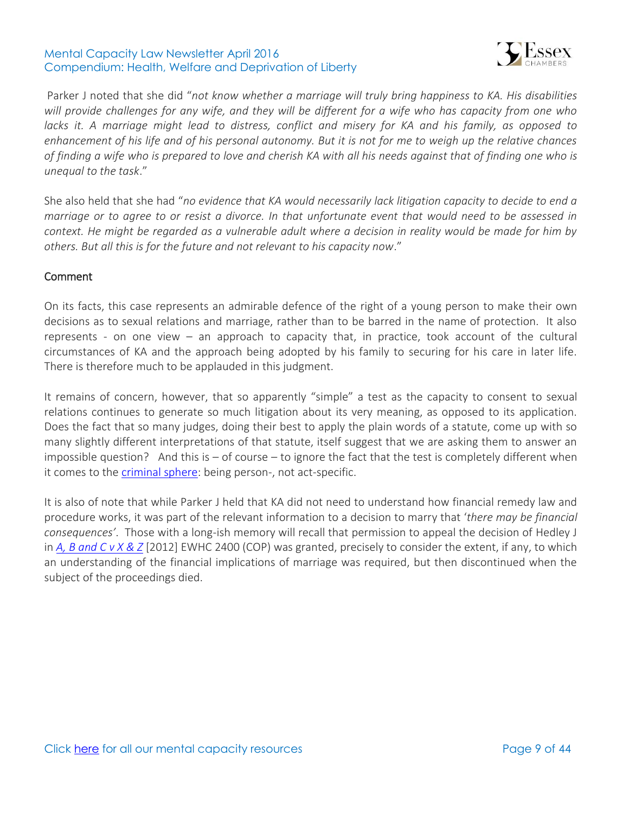

Parker J noted that she did "*not know whether a marriage will truly bring happiness to KA. His disabilities will provide challenges for any wife, and they will be different for a wife who has capacity from one who*  lacks it. A marriage might lead to distress, conflict and misery for KA and his family, as opposed to *enhancement of his life and of his personal autonomy. But it is not for me to weigh up the relative chances of finding a wife who is prepared to love and cherish KA with all his needs against that of finding one who is unequal to the task*."

She also held that she had "*no evidence that KA would necessarily lack litigation capacity to decide to end a marriage or to agree to or resist a divorce. In that unfortunate event that would need to be assessed in context. He might be regarded as a vulnerable adult where a decision in reality would be made for him by others. But all this is for the future and not relevant to his capacity now*."

### Comment

On its facts, this case represents an admirable defence of the right of a young person to make their own decisions as to sexual relations and marriage, rather than to be barred in the name of protection. It also represents - on one view – an approach to capacity that, in practice, took account of the cultural circumstances of KA and the approach being adopted by his family to securing for his care in later life. There is therefore much to be applauded in this judgment.

It remains of concern, however, that so apparently "simple" a test as the capacity to consent to sexual relations continues to generate so much litigation about its very meaning, as opposed to its application. Does the fact that so many judges, doing their best to apply the plain words of a statute, come up with so many slightly different interpretations of that statute, itself suggest that we are asking them to answer an impossible question? And this is  $-$  of course  $-$  to ignore the fact that the test is completely different when it comes to the [criminal sphere:](http://www.bailii.org/uk/cases/UKHL/2009/42.html) being person-, not act-specific.

<span id="page-8-0"></span>It is also of note that while Parker J held that KA did not need to understand how financial remedy law and procedure works, it was part of the relevant information to a decision to marry that '*there may be financial consequences'*. Those with a long-ish memory will recall that permission to appeal the decision of Hedley J in *[A, B and C v X & Z](http://www.39essex.com/cop_cases/a-b-and-c-v-x-y-and-z/)* [2012] EWHC 2400 (COP) was granted, precisely to consider the extent, if any, to which an understanding of the financial implications of marriage was required, but then discontinued when the subject of the proceedings died.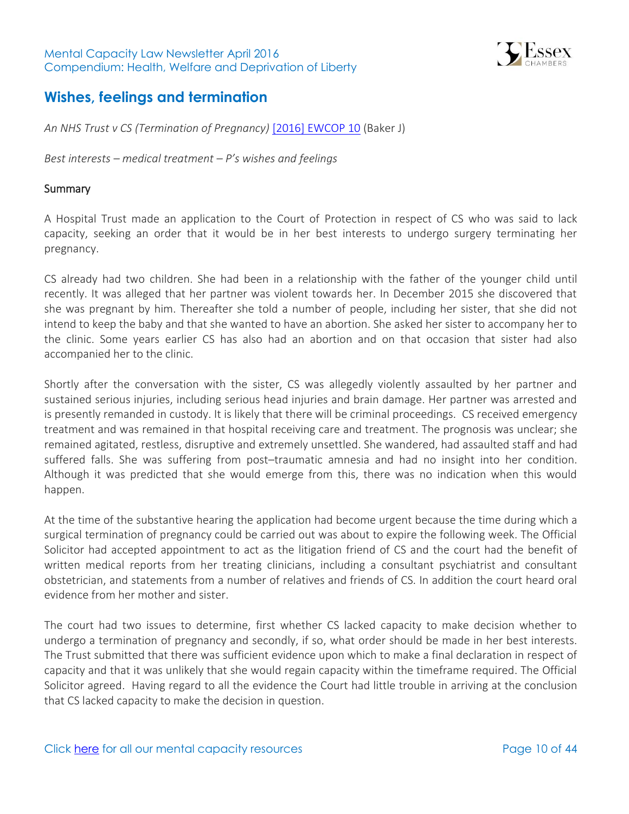

### **Wishes, feelings and termination**

*An NHS Trust v CS (Termination of Pregnancy)* [\[2016\] EWCOP 10](http://www.bailii.org/ew/cases/EWCOP/2016/10.html) (Baker J)

*Best interests – medical treatment – P's wishes and feelings*

#### **Summary**

A Hospital Trust made an application to the Court of Protection in respect of CS who was said to lack capacity, seeking an order that it would be in her best interests to undergo surgery terminating her pregnancy.

CS already had two children. She had been in a relationship with the father of the younger child until recently. It was alleged that her partner was violent towards her. In December 2015 she discovered that she was pregnant by him. Thereafter she told a number of people, including her sister, that she did not intend to keep the baby and that she wanted to have an abortion. She asked her sister to accompany her to the clinic. Some years earlier CS has also had an abortion and on that occasion that sister had also accompanied her to the clinic.

Shortly after the conversation with the sister, CS was allegedly violently assaulted by her partner and sustained serious injuries, including serious head injuries and brain damage. Her partner was arrested and is presently remanded in custody. It is likely that there will be criminal proceedings. CS received emergency treatment and was remained in that hospital receiving care and treatment. The prognosis was unclear; she remained agitated, restless, disruptive and extremely unsettled. She wandered, had assaulted staff and had suffered falls. She was suffering from post–traumatic amnesia and had no insight into her condition. Although it was predicted that she would emerge from this, there was no indication when this would happen.

At the time of the substantive hearing the application had become urgent because the time during which a surgical termination of pregnancy could be carried out was about to expire the following week. The Official Solicitor had accepted appointment to act as the litigation friend of CS and the court had the benefit of written medical reports from her treating clinicians, including a consultant psychiatrist and consultant obstetrician, and statements from a number of relatives and friends of CS. In addition the court heard oral evidence from her mother and sister.

The court had two issues to determine, first whether CS lacked capacity to make decision whether to undergo a termination of pregnancy and secondly, if so, what order should be made in her best interests. The Trust submitted that there was sufficient evidence upon which to make a final declaration in respect of capacity and that it was unlikely that she would regain capacity within the timeframe required. The Official Solicitor agreed. Having regard to all the evidence the Court had little trouble in arriving at the conclusion that CS lacked capacity to make the decision in question.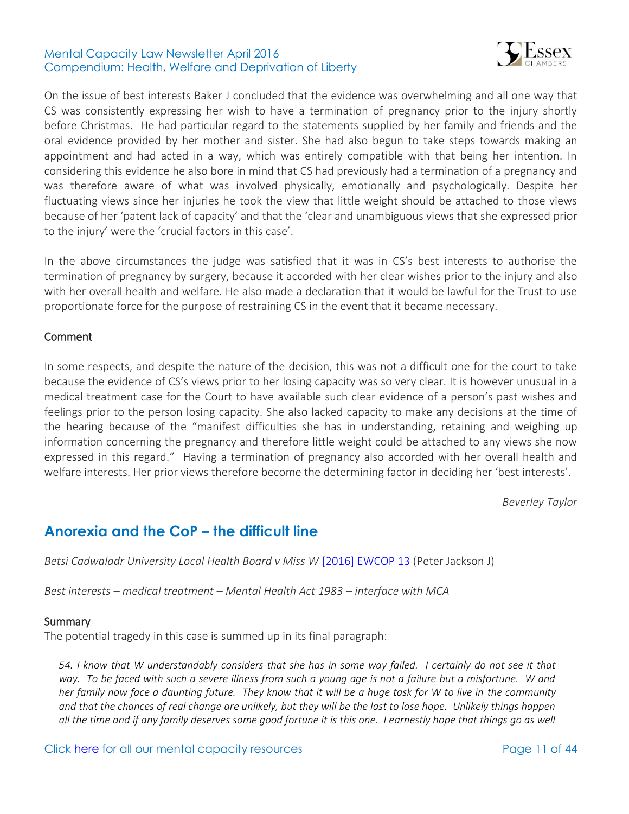

On the issue of best interests Baker J concluded that the evidence was overwhelming and all one way that CS was consistently expressing her wish to have a termination of pregnancy prior to the injury shortly before Christmas. He had particular regard to the statements supplied by her family and friends and the oral evidence provided by her mother and sister. She had also begun to take steps towards making an appointment and had acted in a way, which was entirely compatible with that being her intention. In considering this evidence he also bore in mind that CS had previously had a termination of a pregnancy and was therefore aware of what was involved physically, emotionally and psychologically. Despite her fluctuating views since her injuries he took the view that little weight should be attached to those views because of her 'patent lack of capacity' and that the 'clear and unambiguous views that she expressed prior to the injury' were the 'crucial factors in this case'.

In the above circumstances the judge was satisfied that it was in CS's best interests to authorise the termination of pregnancy by surgery, because it accorded with her clear wishes prior to the injury and also with her overall health and welfare. He also made a declaration that it would be lawful for the Trust to use proportionate force for the purpose of restraining CS in the event that it became necessary.

#### Comment

In some respects, and despite the nature of the decision, this was not a difficult one for the court to take because the evidence of CS's views prior to her losing capacity was so very clear. It is however unusual in a medical treatment case for the Court to have available such clear evidence of a person's past wishes and feelings prior to the person losing capacity. She also lacked capacity to make any decisions at the time of the hearing because of the "manifest difficulties she has in understanding, retaining and weighing up information concerning the pregnancy and therefore little weight could be attached to any views she now expressed in this regard." Having a termination of pregnancy also accorded with her overall health and welfare interests. Her prior views therefore become the determining factor in deciding her 'best interests'.

*Beverley Taylor*

### <span id="page-10-0"></span>**Anorexia and the CoP – the difficult line**

*Betsi Cadwaladr University Local Health Board v Miss W* [\[2016\] EWCOP 13](http://www.bailii.org/ew/cases/EWCOP/2016/13.html) (Peter Jackson J)

*Best interests – medical treatment – Mental Health Act 1983 – interface with MCA* 

#### **Summary**

The potential tragedy in this case is summed up in its final paragraph:

*54. I know that W understandably considers that she has in some way failed. I certainly do not see it that way. To be faced with such a severe illness from such a young age is not a failure but a misfortune. W and her family now face a daunting future. They know that it will be a huge task for W to live in the community and that the chances of real change are unlikely, but they will be the last to lose hope. Unlikely things happen all the time and if any family deserves some good fortune it is this one. I earnestly hope that things go as well* 

Click [here](http://www.39essex.com/resources-and-training/mental-capacity-law/) for all our mental capacity resources The Page 11 of 44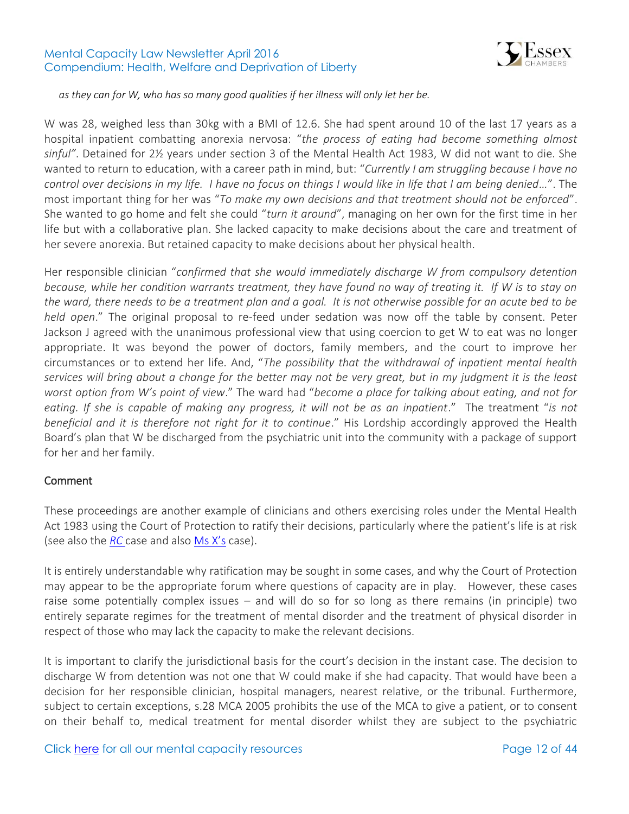

*as they can for W, who has so many good qualities if her illness will only let her be.* 

W was 28, weighed less than 30kg with a BMI of 12.6. She had spent around 10 of the last 17 years as a hospital inpatient combatting anorexia nervosa: "*the process of eating had become something almost sinful"*. Detained for 2½ years under section 3 of the Mental Health Act 1983, W did not want to die. She wanted to return to education, with a career path in mind, but: "*Currently I am struggling because I have no control over decisions in my life. I have no focus on things I would like in life that I am being denied…*". The most important thing for her was "*To make my own decisions and that treatment should not be enforced*". She wanted to go home and felt she could "*turn it around*", managing on her own for the first time in her life but with a collaborative plan. She lacked capacity to make decisions about the care and treatment of her severe anorexia. But retained capacity to make decisions about her physical health.

Her responsible clinician "*confirmed that she would immediately discharge W from compulsory detention because, while her condition warrants treatment, they have found no way of treating it. If W is to stay on the ward, there needs to be a treatment plan and a goal. It is not otherwise possible for an acute bed to be held open*." The original proposal to re-feed under sedation was now off the table by consent. Peter Jackson J agreed with the unanimous professional view that using coercion to get W to eat was no longer appropriate. It was beyond the power of doctors, family members, and the court to improve her circumstances or to extend her life. And, "*The possibility that the withdrawal of inpatient mental health services will bring about a change for the better may not be very great, but in my judgment it is the least worst option from W's point of view*." The ward had "*become a place for talking about eating, and not for eating. If she is capable of making any progress, it will not be as an inpatient*." The treatment "*is not beneficial and it is therefore not right for it to continue*." His Lordship accordingly approved the Health Board's plan that W be discharged from the psychiatric unit into the community with a package of support for her and her family.

### Comment

These proceedings are another example of clinicians and others exercising roles under the Mental Health Act 1983 using the Court of Protection to ratify their decisions, particularly where the patient's life is at risk (see also the *[RC](http://www.39essex.com/cop_cases/nottinghamshire-healthcare-nhs-trust-v-rc/)* case and also [Ms X's](http://www.39essex.com/cop_cases/nhs-foundation-trust-v-ms-x/) case).

It is entirely understandable why ratification may be sought in some cases, and why the Court of Protection may appear to be the appropriate forum where questions of capacity are in play. However, these cases raise some potentially complex issues – and will do so for so long as there remains (in principle) two entirely separate regimes for the treatment of mental disorder and the treatment of physical disorder in respect of those who may lack the capacity to make the relevant decisions.

It is important to clarify the jurisdictional basis for the court's decision in the instant case. The decision to discharge W from detention was not one that W could make if she had capacity. That would have been a decision for her responsible clinician, hospital managers, nearest relative, or the tribunal. Furthermore, subject to certain exceptions, s.28 MCA 2005 prohibits the use of the MCA to give a patient, or to consent on their behalf to, medical treatment for mental disorder whilst they are subject to the psychiatric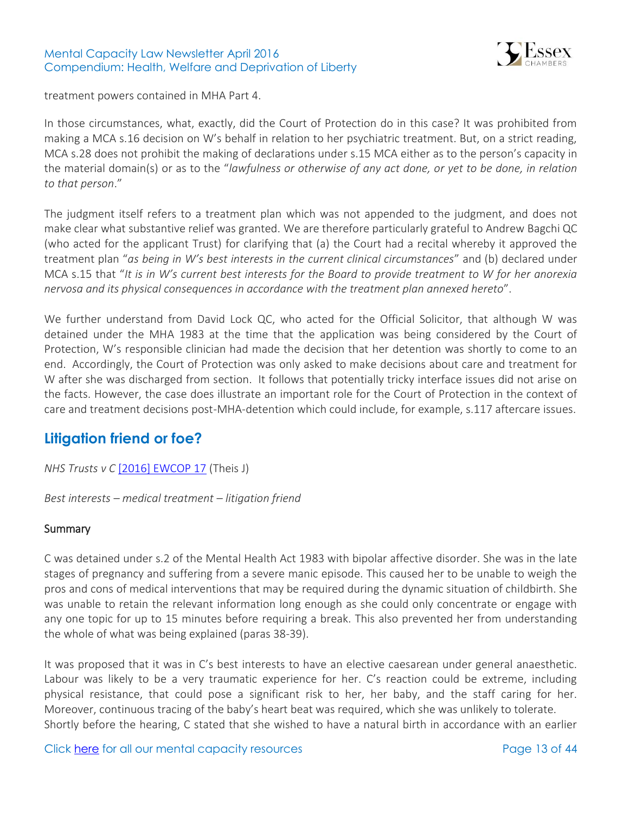

treatment powers contained in MHA Part 4.

In those circumstances, what, exactly, did the Court of Protection do in this case? It was prohibited from making a MCA s.16 decision on W's behalf in relation to her psychiatric treatment. But, on a strict reading, MCA s.28 does not prohibit the making of declarations under s.15 MCA either as to the person's capacity in the material domain(s) or as to the "*lawfulness or otherwise of any act done, or yet to be done, in relation to that person*."

The judgment itself refers to a treatment plan which was not appended to the judgment, and does not make clear what substantive relief was granted. We are therefore particularly grateful to Andrew Bagchi QC (who acted for the applicant Trust) for clarifying that (a) the Court had a recital whereby it approved the treatment plan "*as being in W's best interests in the current clinical circumstances*" and (b) declared under MCA s.15 that "*It is in W's current best interests for the Board to provide treatment to W for her anorexia nervosa and its physical consequences in accordance with the treatment plan annexed hereto*".

We further understand from David Lock QC, who acted for the Official Solicitor, that although W was detained under the MHA 1983 at the time that the application was being considered by the Court of Protection, W's responsible clinician had made the decision that her detention was shortly to come to an end. Accordingly, the Court of Protection was only asked to make decisions about care and treatment for W after she was discharged from section. It follows that potentially tricky interface issues did not arise on the facts. However, the case does illustrate an important role for the Court of Protection in the context of care and treatment decisions post-MHA-detention which could include, for example, s.117 aftercare issues.

## <span id="page-12-0"></span>**Litigation friend or foe?**

*NHS Trusts v C* [\[2016\] EWCOP 17](http://www.bailii.org/ew/cases/EWCOP/2016/17.html) (Theis J)

*Best interests – medical treatment – litigation friend*

### Summary

C was detained under s.2 of the Mental Health Act 1983 with bipolar affective disorder. She was in the late stages of pregnancy and suffering from a severe manic episode. This caused her to be unable to weigh the pros and cons of medical interventions that may be required during the dynamic situation of childbirth. She was unable to retain the relevant information long enough as she could only concentrate or engage with any one topic for up to 15 minutes before requiring a break. This also prevented her from understanding the whole of what was being explained (paras 38-39).

It was proposed that it was in C's best interests to have an elective caesarean under general anaesthetic. Labour was likely to be a very traumatic experience for her. C's reaction could be extreme, including physical resistance, that could pose a significant risk to her, her baby, and the staff caring for her. Moreover, continuous tracing of the baby's heart beat was required, which she was unlikely to tolerate. Shortly before the hearing, C stated that she wished to have a natural birth in accordance with an earlier

Click [here](http://www.39essex.com/resources-and-training/mental-capacity-law/) for all our mental capacity resources The Page 13 of 44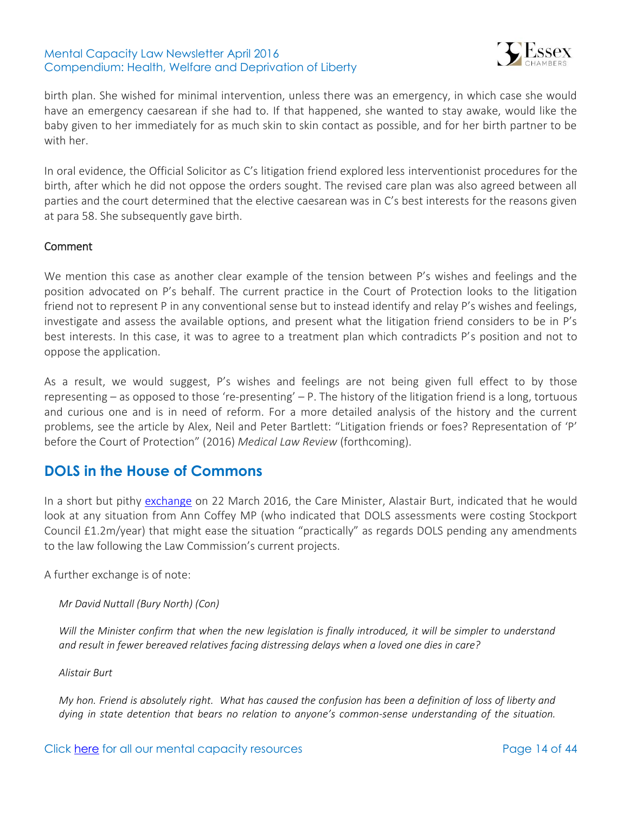

birth plan. She wished for minimal intervention, unless there was an emergency, in which case she would have an emergency caesarean if she had to. If that happened, she wanted to stay awake, would like the baby given to her immediately for as much skin to skin contact as possible, and for her birth partner to be with her.

In oral evidence, the Official Solicitor as C's litigation friend explored less interventionist procedures for the birth, after which he did not oppose the orders sought. The revised care plan was also agreed between all parties and the court determined that the elective caesarean was in C's best interests for the reasons given at para 58. She subsequently gave birth.

### Comment

We mention this case as another clear example of the tension between P's wishes and feelings and the position advocated on P's behalf. The current practice in the Court of Protection looks to the litigation friend not to represent P in any conventional sense but to instead identify and relay P's wishes and feelings, investigate and assess the available options, and present what the litigation friend considers to be in P's best interests. In this case, it was to agree to a treatment plan which contradicts P's position and not to oppose the application.

As a result, we would suggest, P's wishes and feelings are not being given full effect to by those representing – as opposed to those 're-presenting' – P. The history of the litigation friend is a long, tortuous and curious one and is in need of reform. For a more detailed analysis of the history and the current problems, see the article by Alex, Neil and Peter Bartlett: "Litigation friends or foes? Representation of 'P' before the Court of Protection" (2016) *Medical Law Review* (forthcoming).

### <span id="page-13-0"></span>**DOLS in the House of Commons**

In a short but pithy [exchange](https://hansard.digiminster.com/Commons/2016-03-22/debates/16032230000012/DeprivationOfLibertySafeguards) on 22 March 2016, the Care Minister, Alastair Burt, indicated that he would look at any situation from Ann Coffey MP (who indicated that DOLS assessments were costing Stockport Council £1.2m/year) that might ease the situation "practically" as regards DOLS pending any amendments to the law following the Law Commission's current projects.

A further exchange is of note:

### *Mr David Nuttall (Bury North) (Con)*

*Will the Minister confirm that when the new legislation is finally introduced, it will be simpler to understand and result in fewer bereaved relatives facing distressing delays when a loved one dies in care?*

*Alistair Burt* 

*My hon. Friend is absolutely right. What has caused the confusion has been a definition of loss of liberty and dying in state detention that bears no relation to anyone's common-sense understanding of the situation.*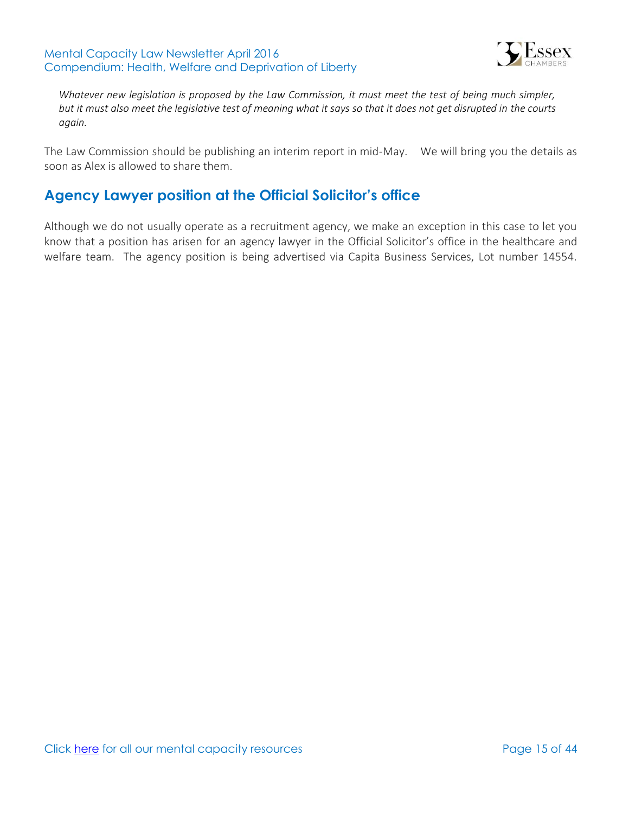

*Whatever new legislation is proposed by the Law Commission, it must meet the test of being much simpler, but it must also meet the legislative test of meaning what it says so that it does not get disrupted in the courts again.*

The Law Commission should be publishing an interim report in mid-May. We will bring you the details as soon as Alex is allowed to share them.

## <span id="page-14-0"></span>**Agency Lawyer position at the Official Solicitor's office**

Although we do not usually operate as a recruitment agency, we make an exception in this case to let you know that a position has arisen for an agency lawyer in the Official Solicitor's office in the healthcare and welfare team. The agency position is being advertised via Capita Business Services, Lot number 14554.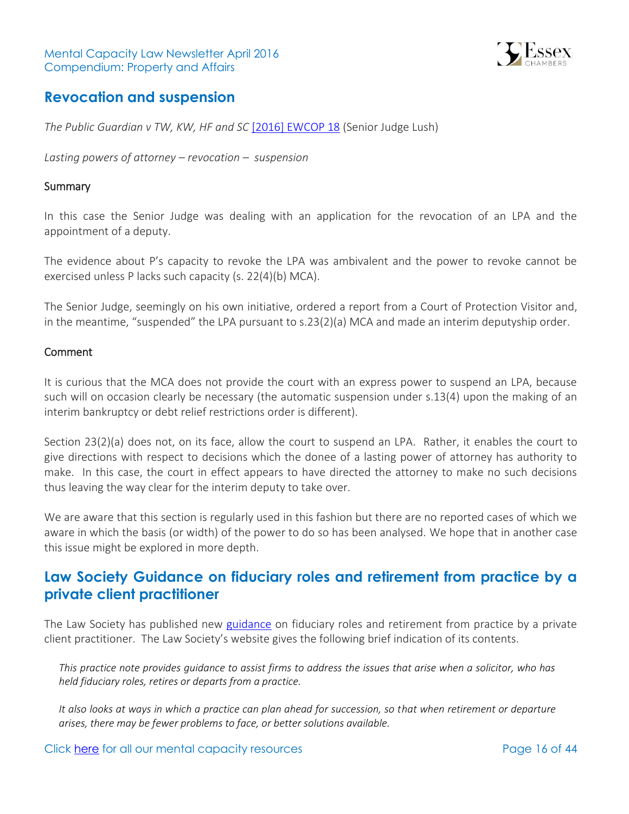

### <span id="page-15-0"></span>**Revocation and suspension**

*The Public Guardian v TW, KW, HF and SC* [\[2016\] EWCOP 18](http://www.bailii.org/ew/cases/EWCOP/2016/18.html) (Senior Judge Lush)

*Lasting powers of attorney – revocation – suspension* 

### **Summary**

In this case the Senior Judge was dealing with an application for the revocation of an LPA and the appointment of a deputy.

The evidence about P's capacity to revoke the LPA was ambivalent and the power to revoke cannot be exercised unless P lacks such capacity (s. 22(4)(b) MCA).

The Senior Judge, seemingly on his own initiative, ordered a report from a Court of Protection Visitor and, in the meantime, "suspended" the LPA pursuant to s.23(2)(a) MCA and made an interim deputyship order.

#### Comment

It is curious that the MCA does not provide the court with an express power to suspend an LPA, because such will on occasion clearly be necessary (the automatic suspension under s.13(4) upon the making of an interim bankruptcy or debt relief restrictions order is different).

Section 23(2)(a) does not, on its face, allow the court to suspend an LPA. Rather, it enables the court to give directions with respect to decisions which the donee of a lasting power of attorney has authority to make. In this case, the court in effect appears to have directed the attorney to make no such decisions thus leaving the way clear for the interim deputy to take over.

We are aware that this section is regularly used in this fashion but there are no reported cases of which we aware in which the basis (or width) of the power to do so has been analysed. We hope that in another case this issue might be explored in more depth.

### <span id="page-15-1"></span>**Law Society Guidance on fiduciary roles and retirement from practice by a private client practitioner**

The Law Society has published new [guidance](http://www.lawsociety.org.uk/Support-services/Advice/Practice-notes/fiduciary-roles-and-retirement-or-departure-from-practice-by-a-private-client-practitioner/) on fiduciary roles and retirement from practice by a private client practitioner. The Law Society's website gives the following brief indication of its contents.

*This practice note provides guidance to assist firms to address the issues that arise when a solicitor, who has held fiduciary roles, retires or departs from a practice.*

*It also looks at ways in which a practice can plan ahead for succession, so that when retirement or departure arises, there may be fewer problems to face, or better solutions available.*

Click [here](http://www.39essex.com/resources-and-training/mental-capacity-law/) for all our mental capacity resources The Click here is a page 16 of 44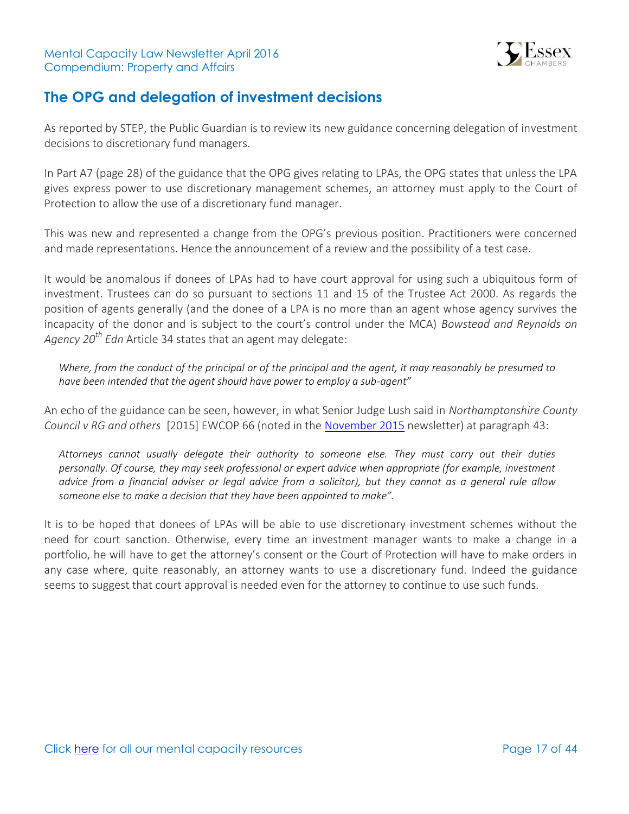

# <span id="page-16-0"></span>**The OPG and delegation of investment decisions**

As reported by STEP, the Public Guardian is to review its new guidance concerning delegation of investment decisions to discretionary fund managers.

In Part A7 (page 28) of the guidance that the OPG gives relating to LPAs, the OPG states that unless the LPA gives express power to use discretionary management schemes, an attorney must apply to the Court of Protection to allow the use of a discretionary fund manager.

This was new and represented a change from the OPG's previous position. Practitioners were concerned and made representations. Hence the announcement of a review and the possibility of a test case.

It would be anomalous if donees of LPAs had to have court approval for using such a ubiquitous form of investment. Trustees can do so pursuant to sections 11 and 15 of the Trustee Act 2000. As regards the position of agents generally (and the donee of a LPA is no more than an agent whose agency survives the incapacity of the donor and is subject to the court's control under the MCA) *Bowstead and Reynolds on Agency 20th Edn* Article 34 states that an agent may delegate:

*Where, from the conduct of the principal or of the principal and the agent, it may reasonably be presumed to have been intended that the agent should have power to employ a sub-agent"*

An echo of the guidance can be seen, however, in what Senior Judge Lush said in *Northamptonshire County Council v RG and others* [2015] EWCOP 66 (noted in the [November 2015](http://www.39essex.com/content/wp-content/uploads/2015/11/MC-Newsletter-November-2015-Property-and-Affairs.pdf) newsletter) at paragraph 43:

*Attorneys cannot usually delegate their authority to someone else. They must carry out their duties personally. Of course, they may seek professional or expert advice when appropriate (for example, investment advice from a financial adviser or legal advice from a solicitor), but they cannot as a general rule allow someone else to make a decision that they have been appointed to make".*

It is to be hoped that donees of LPAs will be able to use discretionary investment schemes without the need for court sanction. Otherwise, every time an investment manager wants to make a change in a portfolio, he will have to get the attorney's consent or the Court of Protection will have to make orders in any case where, quite reasonably, an attorney wants to use a discretionary fund. Indeed the guidance seems to suggest that court approval is needed even for the attorney to continue to use such funds.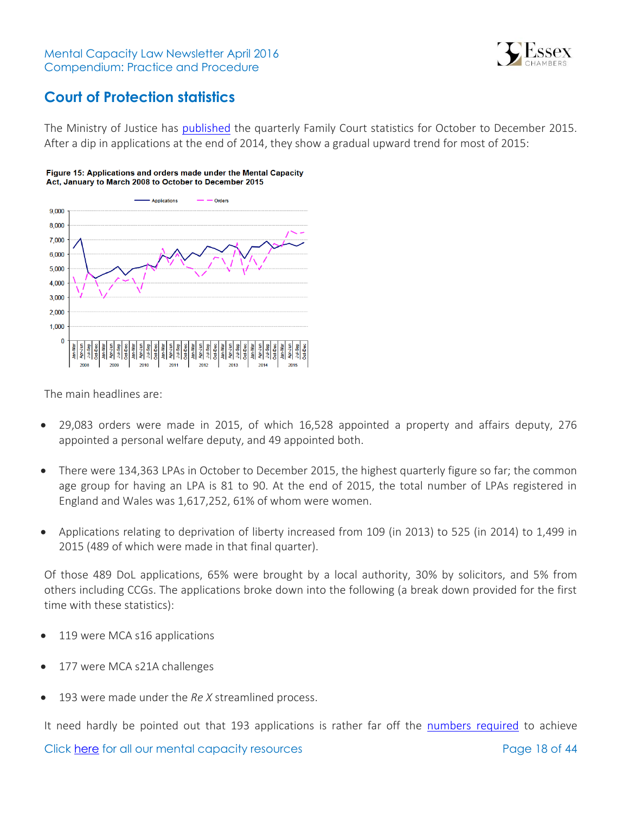

# <span id="page-17-0"></span>**Court of Protection statistics**

The Ministry of Justice has [published](https://www.gov.uk/government/uploads/system/uploads/attachment_data/file/512551/family-court-statistics-quarterly-q4-2015.pdf) the quarterly Family Court statistics for October to December 2015. After a dip in applications at the end of 2014, they show a gradual upward trend for most of 2015:

#### Figure 15: Applications and orders made under the Mental Capacity Act, January to March 2008 to October to December 2015



The main headlines are:

- 29,083 orders were made in 2015, of which 16,528 appointed a property and affairs deputy, 276 appointed a personal welfare deputy, and 49 appointed both.
- There were 134,363 LPAs in October to December 2015, the highest quarterly figure so far; the common age group for having an LPA is 81 to 90. At the end of 2015, the total number of LPAs registered in England and Wales was 1,617,252, 61% of whom were women.
- Applications relating to deprivation of liberty increased from 109 (in 2013) to 525 (in 2014) to 1,499 in 2015 (489 of which were made in that final quarter).

Of those 489 DoL applications, 65% were brought by a local authority, 30% by solicitors, and 5% from others including CCGs. The applications broke down into the following (a break down provided for the first time with these statistics):

- 119 were MCA s16 applications
- 177 were MCA s21A challenges
- 193 were made under the *Re X* streamlined process.

It need hardly be pointed out that 193 applications is rather far off the [numbers required](http://www.communitycare.co.uk/2016/04/11/deprivation-liberty-court-cases-triple-fall-short-cheshire-west-predictions/) to achieve

Click [here](http://www.39essex.com/resources-and-training/mental-capacity-law/) for all our mental capacity resources The Page 18 of 44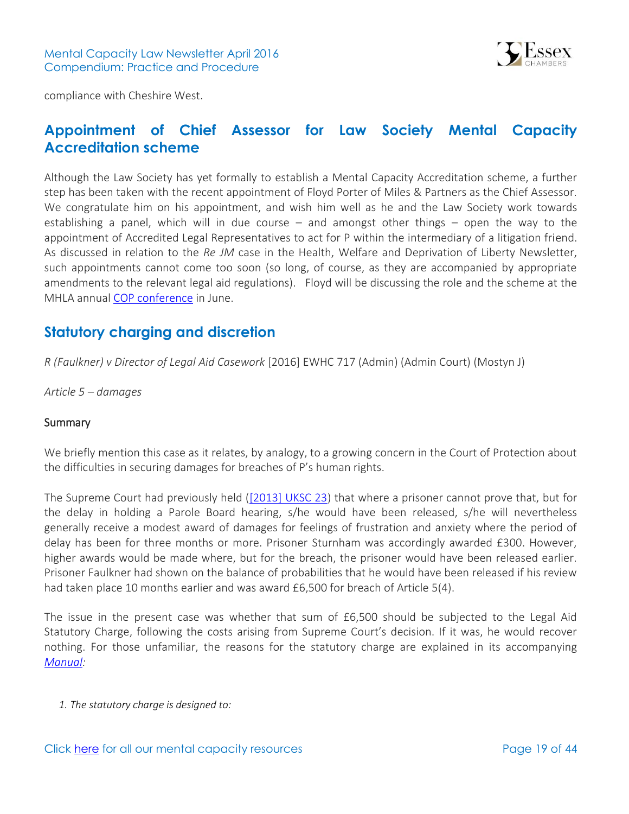

compliance with Cheshire West.

### <span id="page-18-0"></span>**Appointment of Chief Assessor for Law Society Mental Capacity Accreditation scheme**

Although the Law Society has yet formally to establish a Mental Capacity Accreditation scheme, a further step has been taken with the recent appointment of Floyd Porter of Miles & Partners as the Chief Assessor. We congratulate him on his appointment, and wish him well as he and the Law Society work towards establishing a panel, which will in due course  $-$  and amongst other things  $-$  open the way to the appointment of Accredited Legal Representatives to act for P within the intermediary of a litigation friend. As discussed in relation to the *Re JM* case in the Health, Welfare and Deprivation of Liberty Newsletter, such appointments cannot come too soon (so long, of course, as they are accompanied by appropriate amendments to the relevant legal aid regulations). Floyd will be discussing the role and the scheme at the MHLA annual [COP conference](http://www.mhla.co.uk/events/court-of-protection-conference-manchester-24-jun-2016/) in June.

### <span id="page-18-1"></span>**Statutory charging and discretion**

*R (Faulkner) v Director of Legal Aid Casework* [2016] EWHC 717 (Admin) (Admin Court) (Mostyn J)

*Article 5 – damages* 

#### **Summary**

We briefly mention this case as it relates, by analogy, to a growing concern in the Court of Protection about the difficulties in securing damages for breaches of P's human rights.

The Supreme Court had previously held [\(\[2013\] UKSC 23\)](http://www.bailii.org/uk/cases/UKSC/2013/23.html) that where a prisoner cannot prove that, but for the delay in holding a Parole Board hearing, s/he would have been released, s/he will nevertheless generally receive a modest award of damages for feelings of frustration and anxiety where the period of delay has been for three months or more. Prisoner Sturnham was accordingly awarded £300. However, higher awards would be made where, but for the breach, the prisoner would have been released earlier. Prisoner Faulkner had shown on the balance of probabilities that he would have been released if his review had taken place 10 months earlier and was award £6,500 for breach of Article 5(4).

The issue in the present case was whether that sum of £6,500 should be subjected to the Legal Aid Statutory Charge, following the costs arising from Supreme Court's decision. If it was, he would recover nothing. For those unfamiliar, the reasons for the statutory charge are explained in its accompanying *[Manual:](https://www.gov.uk/government/uploads/system/uploads/attachment_data/file/324163/legal-aid-stat-charge-manual.pdf)*

*1. The statutory charge is designed to:*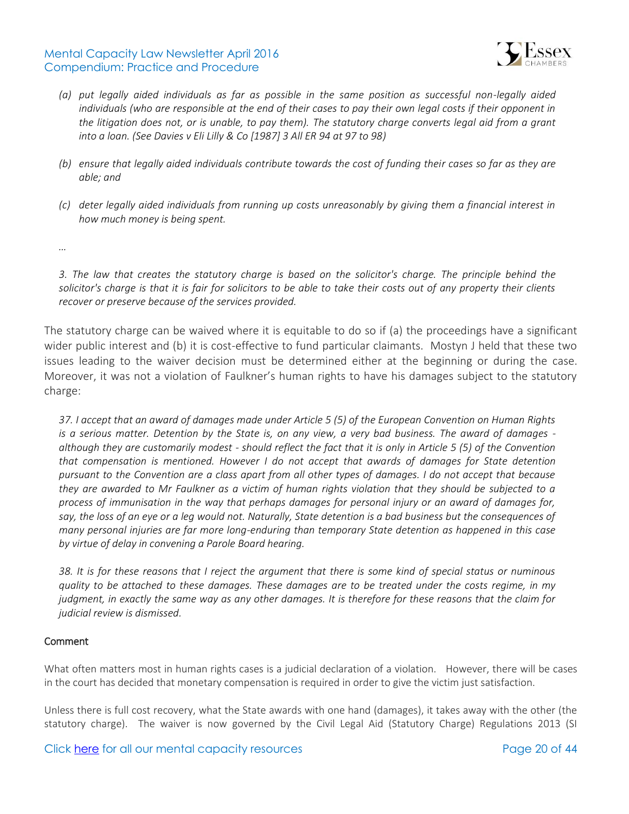### Mental Capacity Law Newsletter April 2016 Compendium: Practice and Procedure



- *(a) put legally aided individuals as far as possible in the same position as successful non-legally aided individuals (who are responsible at the end of their cases to pay their own legal costs if their opponent in the litigation does not, or is unable, to pay them). The statutory charge converts legal aid from a grant into a loan. (See Davies v Eli Lilly & Co [1987] 3 All ER 94 at 97 to 98)*
- *(b) ensure that legally aided individuals contribute towards the cost of funding their cases so far as they are able; and*
- *(c) deter legally aided individuals from running up costs unreasonably by giving them a financial interest in how much money is being spent.*

*…*

*3. The law that creates the statutory charge is based on the solicitor's charge. The principle behind the solicitor's charge is that it is fair for solicitors to be able to take their costs out of any property their clients recover or preserve because of the services provided.*

The statutory charge can be waived where it is equitable to do so if (a) the proceedings have a significant wider public interest and (b) it is cost-effective to fund particular claimants. Mostyn J held that these two issues leading to the waiver decision must be determined either at the beginning or during the case. Moreover, it was not a violation of Faulkner's human rights to have his damages subject to the statutory charge:

*37. I accept that an award of damages made under Article 5 (5) of the European Convention on Human Rights is a serious matter. Detention by the State is, on any view, a very bad business. The award of damages although they are customarily modest - should reflect the fact that it is only in Article 5 (5) of the Convention that compensation is mentioned. However I do not accept that awards of damages for State detention pursuant to the Convention are a class apart from all other types of damages. I do not accept that because they are awarded to Mr Faulkner as a victim of human rights violation that they should be subjected to a process of immunisation in the way that perhaps damages for personal injury or an award of damages for,*  say, the loss of an eye or a leg would not. Naturally, State detention is a bad business but the consequences of *many personal injuries are far more long-enduring than temporary State detention as happened in this case by virtue of delay in convening a Parole Board hearing.*

*38. It is for these reasons that I reject the argument that there is some kind of special status or numinous quality to be attached to these damages. These damages are to be treated under the costs regime, in my judgment, in exactly the same way as any other damages. It is therefore for these reasons that the claim for judicial review is dismissed.*

### Comment

What often matters most in human rights cases is a judicial declaration of a violation. However, there will be cases in the court has decided that monetary compensation is required in order to give the victim just satisfaction.

Unless there is full cost recovery, what the State awards with one hand (damages), it takes away with the other (the statutory charge). The waiver is now governed by the Civil Legal Aid (Statutory Charge) Regulations 2013 (SI

Click [here](http://www.39essex.com/resources-and-training/mental-capacity-law/) for all our mental capacity resources The Page 20 of 44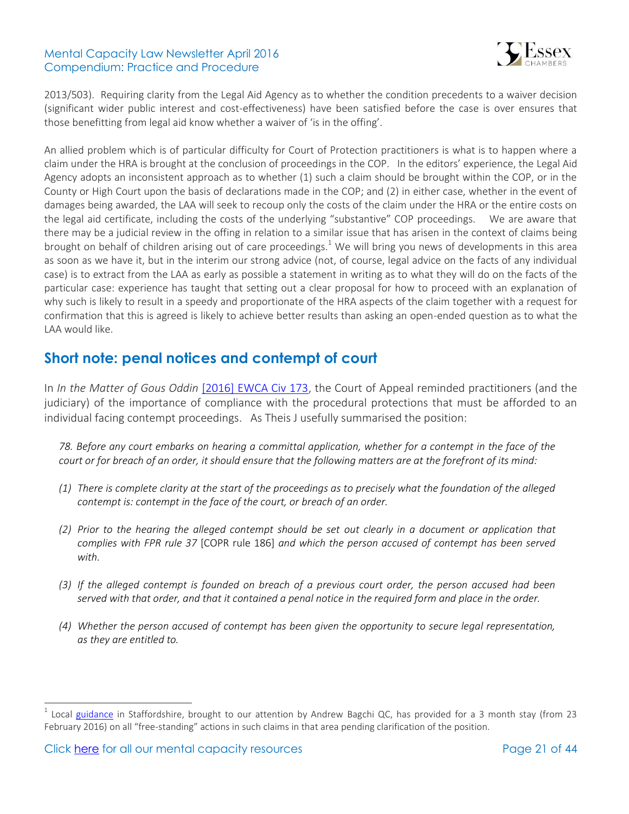### Mental Capacity Law Newsletter April 2016 Compendium: Practice and Procedure



2013/503). Requiring clarity from the Legal Aid Agency as to whether the condition precedents to a waiver decision (significant wider public interest and cost-effectiveness) have been satisfied before the case is over ensures that those benefitting from legal aid know whether a waiver of 'is in the offing'.

An allied problem which is of particular difficulty for Court of Protection practitioners is what is to happen where a claim under the HRA is brought at the conclusion of proceedings in the COP. In the editors' experience, the Legal Aid Agency adopts an inconsistent approach as to whether (1) such a claim should be brought within the COP, or in the County or High Court upon the basis of declarations made in the COP; and (2) in either case, whether in the event of damages being awarded, the LAA will seek to recoup only the costs of the claim under the HRA or the entire costs on the legal aid certificate, including the costs of the underlying "substantive" COP proceedings. We are aware that there may be a judicial review in the offing in relation to a similar issue that has arisen in the context of claims being brought on behalf of children arising out of care proceedings.<sup>1</sup> We will bring you news of developments in this area as soon as we have it, but in the interim our strong advice (not, of course, legal advice on the facts of any individual case) is to extract from the LAA as early as possible a statement in writing as to what they will do on the facts of the particular case: experience has taught that setting out a clear proposal for how to proceed with an explanation of why such is likely to result in a speedy and proportionate of the HRA aspects of the claim together with a request for confirmation that this is agreed is likely to achieve better results than asking an open-ended question as to what the LAA would like.

### <span id="page-20-0"></span>**Short note: penal notices and contempt of court**

In *In the Matter of Gous Oddin* [\[2016\] EWCA Civ 173,](http://www.bailii.org/ew/cases/EWCA/Civ/2016/173.html) the Court of Appeal reminded practitioners (and the judiciary) of the importance of compliance with the procedural protections that must be afforded to an individual facing contempt proceedings. As Theis J usefully summarised the position:

*78. Before any court embarks on hearing a committal application, whether for a contempt in the face of the court or for breach of an order, it should ensure that the following matters are at the forefront of its mind:* 

- *(1) There is complete clarity at the start of the proceedings as to precisely what the foundation of the alleged contempt is: contempt in the face of the court, or breach of an order.*
- *(2) Prior to the hearing the alleged contempt should be set out clearly in a document or application that complies with FPR rule 37* [COPR rule 186] *and which the person accused of contempt has been served with.*
- *(3) If the alleged contempt is founded on breach of a previous court order, the person accused had been served with that order, and that it contained a penal notice in the required form and place in the order.*
- *(4) Whether the person accused of contempt has been given the opportunity to secure legal representation, as they are entitled to.*

 $\overline{a}$ 

 $^1$  Local [guidance](http://www.mentalcapacitylawandpolicy.org.uk/wp-content/uploads/2016/04/Guidance-prepared-by-HHJ-Lopex-re-freestanding-claims-by-children-for-alleged-breaches-and-damages-copy.pdf) in Staffordshire, brought to our attention by Andrew Bagchi QC, has provided for a 3 month stay (from 23 February 2016) on all "free-standing" actions in such claims in that area pending clarification of the position.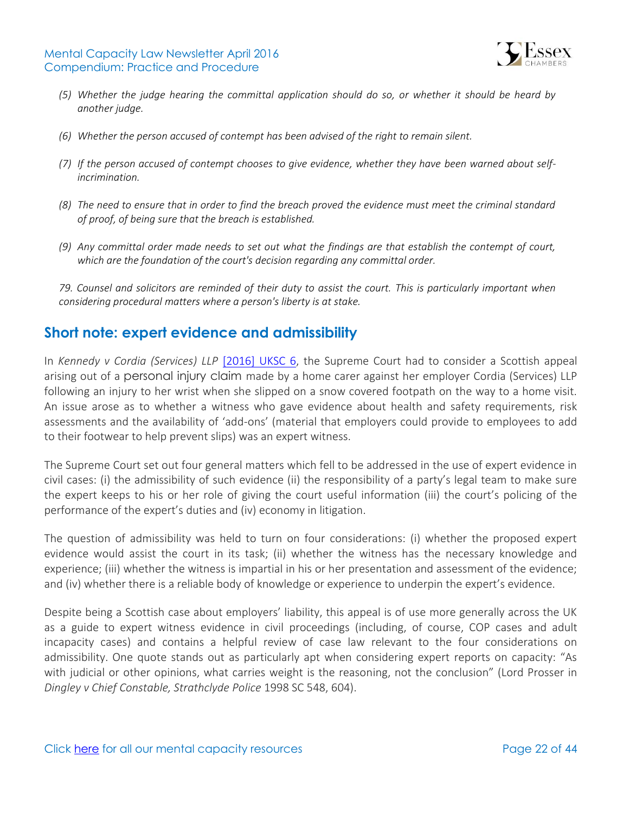

- *(5) Whether the judge hearing the committal application should do so, or whether it should be heard by another judge.*
- *(6) Whether the person accused of contempt has been advised of the right to remain silent.*
- *(7) If the person accused of contempt chooses to give evidence, whether they have been warned about selfincrimination.*
- *(8) The need to ensure that in order to find the breach proved the evidence must meet the criminal standard of proof, of being sure that the breach is established.*
- *(9) Any committal order made needs to set out what the findings are that establish the contempt of court, which are the foundation of the court's decision regarding any committal order.*

*79. Counsel and solicitors are reminded of their duty to assist the court. This is particularly important when considering procedural matters where a person's liberty is at stake.* 

### <span id="page-21-0"></span>**Short note: expert evidence and admissibility**

In *Kennedy v Cordia (Services) LLP* [\[2016\] UKSC 6,](http://www.bailii.org/uk/cases/UKSC/2016/6.html) the Supreme Court had to consider a Scottish appeal arising out of a personal injury claim made by a home carer against her employer Cordia (Services) LLP following an injury to her wrist when she slipped on a snow covered footpath on the way to a home visit. An issue arose as to whether a witness who gave evidence about health and safety requirements, risk assessments and the availability of 'add-ons' (material that employers could provide to employees to add to their footwear to help prevent slips) was an expert witness.

The Supreme Court set out four general matters which fell to be addressed in the use of expert evidence in civil cases: (i) the admissibility of such evidence (ii) the responsibility of a party's legal team to make sure the expert keeps to his or her role of giving the court useful information (iii) the court's policing of the performance of the expert's duties and (iv) economy in litigation.

The question of admissibility was held to turn on four considerations: (i) whether the proposed expert evidence would assist the court in its task; (ii) whether the witness has the necessary knowledge and experience; (iii) whether the witness is impartial in his or her presentation and assessment of the evidence; and (iv) whether there is a reliable body of knowledge or experience to underpin the expert's evidence.

<span id="page-21-1"></span>Despite being a Scottish case about employers' liability, this appeal is of use more generally across the UK as a guide to expert witness evidence in civil proceedings (including, of course, COP cases and adult incapacity cases) and contains a helpful review of case law relevant to the four considerations on admissibility. One quote stands out as particularly apt when considering expert reports on capacity: "As with judicial or other opinions, what carries weight is the reasoning, not the conclusion" (Lord Prosser in *Dingley v Chief Constable, Strathclyde Police* 1998 SC 548, 604).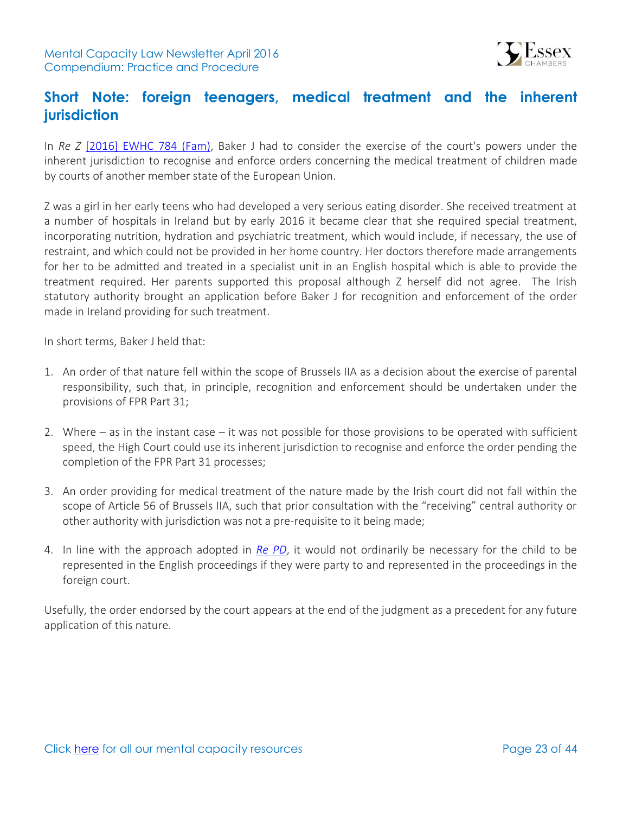

## **Short Note: foreign teenagers, medical treatment and the inherent jurisdiction**

In *Re Z* [\[2016\] EWHC 784 \(Fam\),](http://www.bailii.org/ew/cases/EWHC/Fam/2016/784.html) Baker J had to consider the exercise of the court's powers under the inherent jurisdiction to recognise and enforce orders concerning the medical treatment of children made by courts of another member state of the European Union.

Z was a girl in her early teens who had developed a very serious eating disorder. She received treatment at a number of hospitals in Ireland but by early 2016 it became clear that she required special treatment, incorporating nutrition, hydration and psychiatric treatment, which would include, if necessary, the use of restraint, and which could not be provided in her home country. Her doctors therefore made arrangements for her to be admitted and treated in a specialist unit in an English hospital which is able to provide the treatment required. Her parents supported this proposal although Z herself did not agree. The Irish statutory authority brought an application before Baker J for recognition and enforcement of the order made in Ireland providing for such treatment.

In short terms, Baker J held that:

- 1. An order of that nature fell within the scope of Brussels IIA as a decision about the exercise of parental responsibility, such that, in principle, recognition and enforcement should be undertaken under the provisions of FPR Part 31;
- 2. Where as in the instant case it was not possible for those provisions to be operated with sufficient speed, the High Court could use its inherent jurisdiction to recognise and enforce the order pending the completion of the FPR Part 31 processes;
- 3. An order providing for medical treatment of the nature made by the Irish court did not fall within the scope of Article 56 of Brussels IIA, such that prior consultation with the "receiving" central authority or other authority with jurisdiction was not a pre-requisite to it being made;
- 4. In line with the approach adopted in *[Re PD](http://www.39essex.com/cop_cases/hse-ireland-v-pd/)*, it would not ordinarily be necessary for the child to be represented in the English proceedings if they were party to and represented in the proceedings in the foreign court.

Usefully, the order endorsed by the court appears at the end of the judgment as a precedent for any future application of this nature.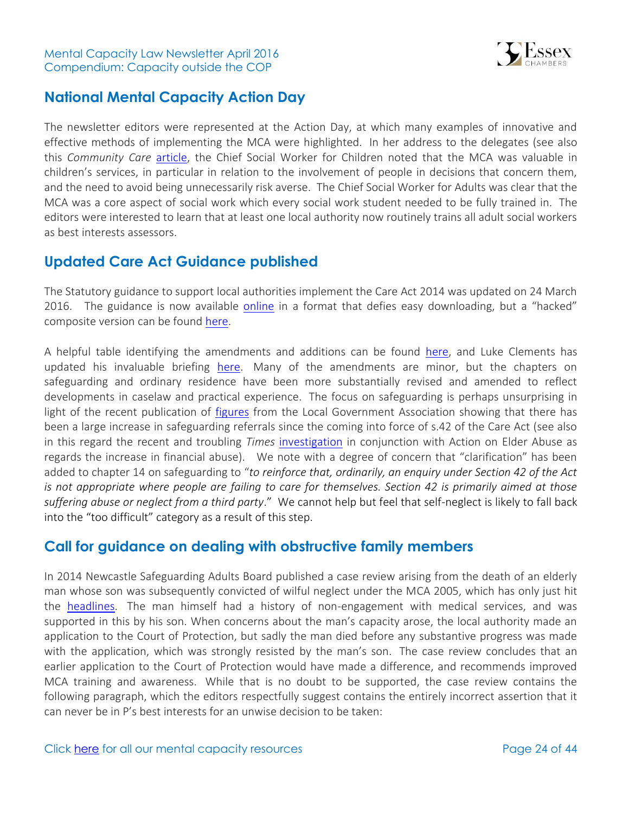

### <span id="page-23-0"></span>**National Mental Capacity Action Day**

The newsletter editors were represented at the Action Day, at which many examples of innovative and effective methods of implementing the MCA were highlighted. In her address to the delegates (see also this *Community Care* [article,](http://www.communitycare.co.uk/2016/03/15/raising-profile-mental-capacity-act-childrens-services-key-says-trowler/?cmpid=NLC|SCSC|SCDDB-2016-0316) the Chief Social Worker for Children noted that the MCA was valuable in children's services, in particular in relation to the involvement of people in decisions that concern them, and the need to avoid being unnecessarily risk averse. The Chief Social Worker for Adults was clear that the MCA was a core aspect of social work which every social work student needed to be fully trained in. The editors were interested to learn that at least one local authority now routinely trains all adult social workers as best interests assessors.

### <span id="page-23-1"></span>**Updated Care Act Guidance published**

The Statutory guidance to support local authorities implement the Care Act 2014 was updated on 24 March 2016. The guidance is now available [online](https://www.gov.uk/guidance/care-and-support-statutory-guidance/safeguarding) in a format that defies easy downloading, but a "hacked" composite version can be found [here.](https://dl.dropboxusercontent.com/u/3783983/Ferret)

A helpful table identifying the amendments and additions can be found [here,](http://www.local.gov.uk/care-support-reform/-/journal_content/56/10180/7740017/ARTICLE#table) and Luke Clements has updated his invaluable briefing [here.](http://www.lukeclements.co.uk/whats-new/) Many of the amendments are minor, but the chapters on safeguarding and ordinary residence have been more substantially revised and amended to reflect developments in caselaw and practical experience. The focus on safeguarding is perhaps unsurprising in light of the recent publication of [figures](http://www.communitycare.co.uk/2016/03/16/care-act-triggers-surge-safeguarding-caseloads/) from the Local Government Association showing that there has been a large increase in safeguarding referrals since the coming into force of s.42 of the Care Act (see also in this regard the recent and troubling *Times* [investigation](http://www.thetimes.co.uk/article/elderly-betrayed-in-their-homes-2zf6pf08b) in conjunction with Action on Elder Abuse as regards the increase in financial abuse). We note with a degree of concern that "clarification" has been added to chapter 14 on safeguarding to "*to reinforce that, ordinarily, an enquiry under Section 42 of the Act is not appropriate where people are failing to care for themselves. Section 42 is primarily aimed at those suffering abuse or neglect from a third party*." We cannot help but feel that self-neglect is likely to fall back into the "too difficult" category as a result of this step.

### <span id="page-23-2"></span>**Call for guidance on dealing with obstructive family members**

In 2014 Newcastle Safeguarding Adults Board published a case review arising from the death of an elderly man whose son was subsequently convicted of wilful neglect under the MCA 2005, which has only just hit the [headlines.](http://www.communitycare.co.uk/2016/03/11/advice-obstructive-families-urged-son-blocked-care-father-died-neglect/) The man himself had a history of non-engagement with medical services, and was supported in this by his son. When concerns about the man's capacity arose, the local authority made an application to the Court of Protection, but sadly the man died before any substantive progress was made with the application, which was strongly resisted by the man's son. The case review concludes that an earlier application to the Court of Protection would have made a difference, and recommends improved MCA training and awareness. While that is no doubt to be supported, the case review contains the following paragraph, which the editors respectfully suggest contains the entirely incorrect assertion that it can never be in P's best interests for an unwise decision to be taken: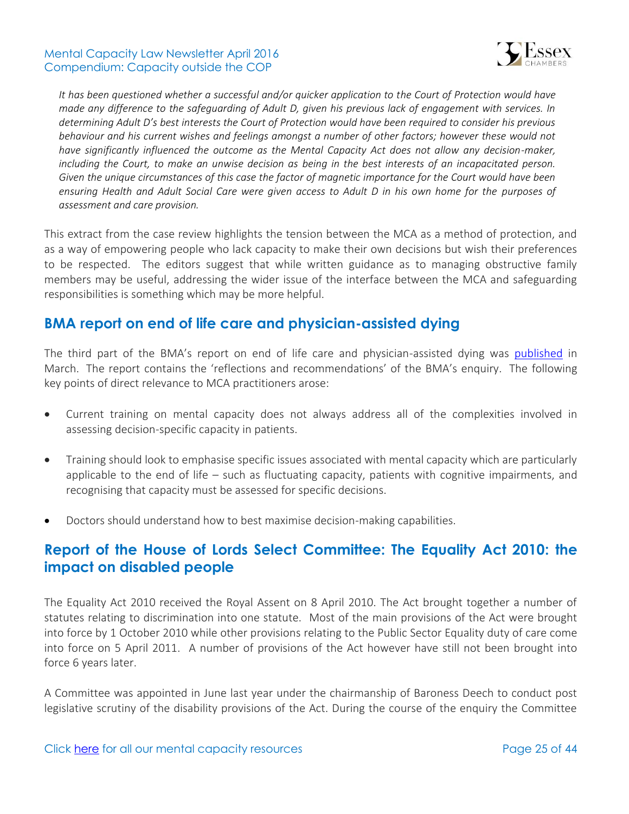

*It has been questioned whether a successful and/or quicker application to the Court of Protection would have made any difference to the safeguarding of Adult D, given his previous lack of engagement with services. In determining Adult D's best interests the Court of Protection would have been required to consider his previous behaviour and his current wishes and feelings amongst a number of other factors; however these would not have significantly influenced the outcome as the Mental Capacity Act does not allow any decision-maker, including the Court, to make an unwise decision as being in the best interests of an incapacitated person. Given the unique circumstances of this case the factor of magnetic importance for the Court would have been ensuring Health and Adult Social Care were given access to Adult D in his own home for the purposes of assessment and care provision.*

This extract from the case review highlights the tension between the MCA as a method of protection, and as a way of empowering people who lack capacity to make their own decisions but wish their preferences to be respected. The editors suggest that while written guidance as to managing obstructive family members may be useful, addressing the wider issue of the interface between the MCA and safeguarding responsibilities is something which may be more helpful.

### <span id="page-24-0"></span>**BMA report on end of life care and physician-assisted dying**

The third part of the BMA's report on end of life care and physician-assisted dying was [published](https://communities.bma.org.uk/policy_debate/end-of-life_care_and_physician_assisted_dying/m/elcpad/1092) in March. The report contains the 'reflections and recommendations' of the BMA's enquiry. The following key points of direct relevance to MCA practitioners arose:

- Current training on mental capacity does not always address all of the complexities involved in assessing decision-specific capacity in patients.
- Training should look to emphasise specific issues associated with mental capacity which are particularly applicable to the end of life – such as fluctuating capacity, patients with cognitive impairments, and recognising that capacity must be assessed for specific decisions.
- Doctors should understand how to best maximise decision-making capabilities.

## <span id="page-24-1"></span>**Report of the House of Lords Select Committee: The Equality Act 2010: the impact on disabled people**

The Equality Act 2010 received the Royal Assent on 8 April 2010. The Act brought together a number of statutes relating to discrimination into one statute. Most of the main provisions of the Act were brought into force by 1 October 2010 while other provisions relating to the Public Sector Equality duty of care come into force on 5 April 2011. A number of provisions of the Act however have still not been brought into force 6 years later.

A Committee was appointed in June last year under the chairmanship of Baroness Deech to conduct post legislative scrutiny of the disability provisions of the Act. During the course of the enquiry the Committee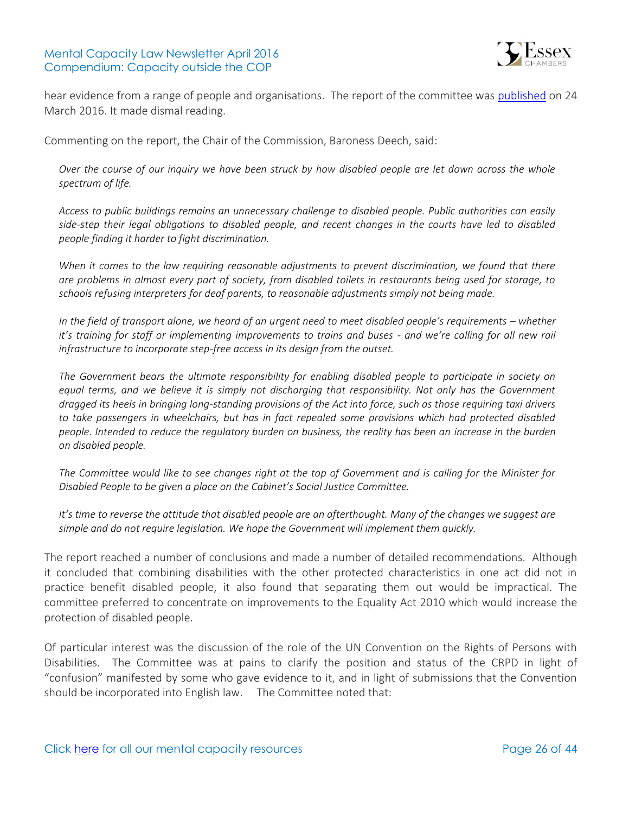

hear evidence from a range of people and organisations. The report of the committee was [published](http://www.publications.parliament.uk/pa/ld201516/ldselect/ldeqact/117/117.pdf) on 24 March 2016. It made dismal reading.

Commenting on the report, the Chair of the Commission, Baroness Deech, said:

*Over the course of our inquiry we have been struck by how disabled people are let down across the whole spectrum of life.*

*Access to public buildings remains an unnecessary challenge to disabled people. Public authorities can easily side-step their legal obligations to disabled people, and recent changes in the courts have led to disabled people finding it harder to fight discrimination.*

*When it comes to the law requiring reasonable adjustments to prevent discrimination, we found that there are problems in almost every part of society, from disabled toilets in restaurants being used for storage, to schools refusing interpreters for deaf parents, to reasonable adjustments simply not being made.*

*In the field of transport alone, we heard of an urgent need to meet disabled people's requirements – whether it's training for staff or implementing improvements to trains and buses - and we're calling for all new rail infrastructure to incorporate step-free access in its design from the outset.*

*The Government bears the ultimate responsibility for enabling disabled people to participate in society on equal terms, and we believe it is simply not discharging that responsibility. Not only has the Government dragged its heels in bringing long-standing provisions of the Act into force, such as those requiring taxi drivers to take passengers in wheelchairs, but has in fact repealed some provisions which had protected disabled people. Intended to reduce the regulatory burden on business, the reality has been an increase in the burden on disabled people.*

*The Committee would like to see changes right at the top of Government and is calling for the Minister for Disabled People to be given a place on the Cabinet's Social Justice Committee.* 

*It's time to reverse the attitude that disabled people are an afterthought. Many of the changes we suggest are simple and do not require legislation. We hope the Government will implement them quickly.*

The report reached a number of conclusions and made a number of detailed recommendations. Although it concluded that combining disabilities with the other protected characteristics in one act did not in practice benefit disabled people, it also found that separating them out would be impractical. The committee preferred to concentrate on improvements to the Equality Act 2010 which would increase the protection of disabled people.

Of particular interest was the discussion of the role of the UN Convention on the Rights of Persons with Disabilities. The Committee was at pains to clarify the position and status of the CRPD in light of "confusion" manifested by some who gave evidence to it, and in light of submissions that the Convention should be incorporated into English law. The Committee noted that: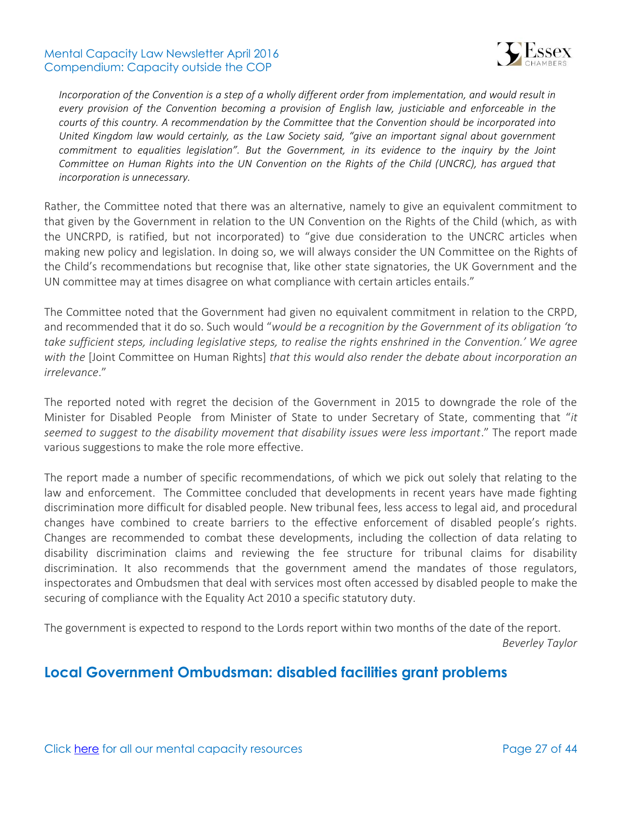

*Incorporation of the Convention is a step of a wholly different order from implementation, and would result in every provision of the Convention becoming a provision of English law, justiciable and enforceable in the courts of this country. A recommendation by the Committee that the Convention should be incorporated into United Kingdom law would certainly, as the Law Society said, "give an important signal about government commitment to equalities legislation". But the Government, in its evidence to the inquiry by the Joint Committee on Human Rights into the UN Convention on the Rights of the Child (UNCRC), has argued that incorporation is unnecessary.*

Rather, the Committee noted that there was an alternative, namely to give an equivalent commitment to that given by the Government in relation to the UN Convention on the Rights of the Child (which, as with the UNCRPD, is ratified, but not incorporated) to "give due consideration to the UNCRC articles when making new policy and legislation. In doing so, we will always consider the UN Committee on the Rights of the Child's recommendations but recognise that, like other state signatories, the UK Government and the UN committee may at times disagree on what compliance with certain articles entails."

The Committee noted that the Government had given no equivalent commitment in relation to the CRPD, and recommended that it do so. Such would "*would be a recognition by the Government of its obligation 'to take sufficient steps, including legislative steps, to realise the rights enshrined in the Convention.' We agree with the* [Joint Committee on Human Rights] *that this would also render the debate about incorporation an irrelevance*."

The reported noted with regret the decision of the Government in 2015 to downgrade the role of the Minister for Disabled People from Minister of State to under Secretary of State, commenting that "*it seemed to suggest to the disability movement that disability issues were less important*." The report made various suggestions to make the role more effective.

The report made a number of specific recommendations, of which we pick out solely that relating to the law and enforcement. The Committee concluded that developments in recent years have made fighting discrimination more difficult for disabled people. New tribunal fees, less access to legal aid, and procedural changes have combined to create barriers to the effective enforcement of disabled people's rights. Changes are recommended to combat these developments, including the collection of data relating to disability discrimination claims and reviewing the fee structure for tribunal claims for disability discrimination. It also recommends that the government amend the mandates of those regulators, inspectorates and Ombudsmen that deal with services most often accessed by disabled people to make the securing of compliance with the Equality Act 2010 a specific statutory duty.

The government is expected to respond to the Lords report within two months of the date of the report. *Beverley Taylor*

### <span id="page-26-0"></span>**Local Government Ombudsman: disabled facilities grant problems**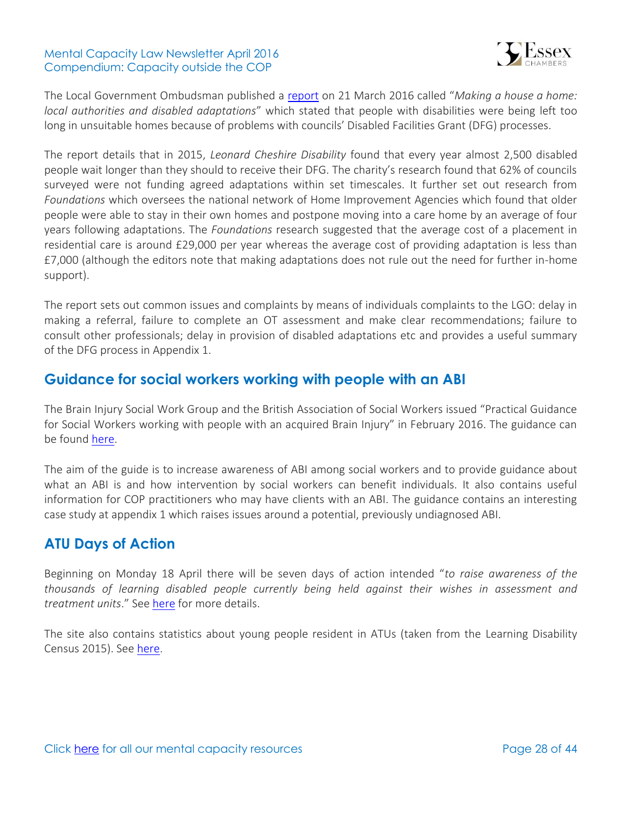

The Local Government Ombudsman published a [report](http://www.lgo.org.uk/information-centre/news/2016/mar/delays-to-disabled-facilities-grant-process-have-major-impact-on-people-s-lives-says-ombudsman) on 21 March 2016 called "*Making a house a home: local authorities and disabled adaptations*" which stated that people with disabilities were being left too long in unsuitable homes because of problems with councils' Disabled Facilities Grant (DFG) processes.

The report details that in 2015, *Leonard Cheshire Disability* found that every year almost 2,500 disabled people wait longer than they should to receive their DFG. The charity's research found that 62% of councils surveyed were not funding agreed adaptations within set timescales. It further set out research from *Foundations* which oversees the national network of Home Improvement Agencies which found that older people were able to stay in their own homes and postpone moving into a care home by an average of four years following adaptations. The *Foundations* research suggested that the average cost of a placement in residential care is around £29,000 per year whereas the average cost of providing adaptation is less than £7,000 (although the editors note that making adaptations does not rule out the need for further in-home support).

The report sets out common issues and complaints by means of individuals complaints to the LGO: delay in making a referral, failure to complete an OT assessment and make clear recommendations; failure to consult other professionals; delay in provision of disabled adaptations etc and provides a useful summary of the DFG process in Appendix 1.

### <span id="page-27-0"></span>**Guidance for social workers working with people with an ABI**

The Brain Injury Social Work Group and the British Association of Social Workers issued "Practical Guidance for Social Workers working with people with an acquired Brain Injury" in February 2016. The guidance can be found [here.](https://www.basw.co.uk/resource/?id=5157)

The aim of the guide is to increase awareness of ABI among social workers and to provide guidance about what an ABI is and how intervention by social workers can benefit individuals. It also contains useful information for COP practitioners who may have clients with an ABI. The guidance contains an interesting case study at appendix 1 which raises issues around a potential, previously undiagnosed ABI.

### <span id="page-27-1"></span>**ATU Days of Action**

Beginning on Monday 18 April there will be seven days of action intended "*to raise awareness of the thousands of learning disabled people currently being held against their wishes in assessment and treatment units*." See [here](https://theatuscandal.wordpress.com/about/) for more details.

<span id="page-27-2"></span>The site also contains statistics about young people resident in ATUs (taken from the Learning Disability Census 2015). See [here.](https://theatuscandal.wordpress.com/some-atu-facts-figures/)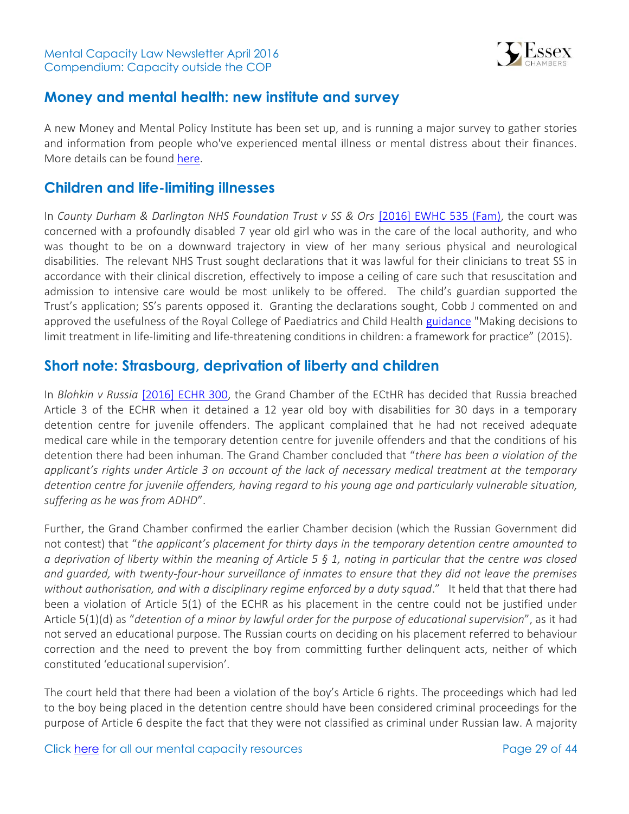

### **Money and mental health: new institute and survey**

A new [Money and Mental Policy Institute](http://www.moneyandmentalhealth.org/) has been set up, and is running a major survey to gather stories and information from people who've experienced mental illness or mental distress about their finances. More details can be found [here.](http://www.moneyandmentalhealth.org/)

### <span id="page-28-0"></span>**Children and life-limiting illnesses**

In *County Durham & Darlington NHS Foundation Trust v SS & Ors* [\[2016\] EWHC 535 \(Fam\),](http://www.bailii.org/ew/cases/EWHC/Fam/2016/535.html) the court was concerned with a profoundly disabled 7 year old girl who was in the care of the local authority, and who was thought to be on a downward trajectory in view of her many serious physical and neurological disabilities. The relevant NHS Trust sought declarations that it was lawful for their clinicians to treat SS in accordance with their clinical discretion, effectively to impose a ceiling of care such that resuscitation and admission to intensive care would be most unlikely to be offered. The child's guardian supported the Trust's application; SS's parents opposed it. Granting the declarations sought, Cobb J commented on and approved the usefulness of the Royal College of Paediatrics and Child Health [guidance](http://adc.bmj.com/content/100/Suppl_2/s1.full.pdf+html) "Making decisions to limit treatment in life-limiting and life-threatening conditions in children: a framework for practice" (2015).

### <span id="page-28-1"></span>**Short note: Strasbourg, deprivation of liberty and children**

In *Blohkin v Russia* [\[2016\] ECHR 300,](http://www.bailii.org/eu/cases/ECHR/2016/300.html) the Grand Chamber of the ECtHR has decided that Russia breached Article 3 of the ECHR when it detained a 12 year old boy with disabilities for 30 days in a temporary detention centre for juvenile offenders. The applicant complained that he had not received adequate medical care while in the temporary detention centre for juvenile offenders and that the conditions of his detention there had been inhuman. The Grand Chamber concluded that "*there has been a violation of the applicant's rights under Article 3 on account of the lack of necessary medical treatment at the temporary detention centre for juvenile offenders, having regard to his young age and particularly vulnerable situation, suffering as he was from ADHD*".

Further, the Grand Chamber confirmed the earlier Chamber decision (which the Russian Government did not contest) that "*the applicant's placement for thirty days in the temporary detention centre amounted to a deprivation of liberty within the meaning of Article 5 § 1, noting in particular that the centre was closed and guarded, with twenty-four-hour surveillance of inmates to ensure that they did not leave the premises without authorisation, and with a disciplinary regime enforced by a duty squad*." It held that that there had been a violation of Article 5(1) of the ECHR as his placement in the centre could not be justified under Article 5(1)(d) as "*detention of a minor by lawful order for the purpose of educational supervision*", as it had not served an educational purpose. The Russian courts on deciding on his placement referred to behaviour correction and the need to prevent the boy from committing further delinquent acts, neither of which constituted 'educational supervision'.

The court held that there had been a violation of the boy's Article 6 rights. The proceedings which had led to the boy being placed in the detention centre should have been considered criminal proceedings for the purpose of Article 6 despite the fact that they were not classified as criminal under Russian law. A majority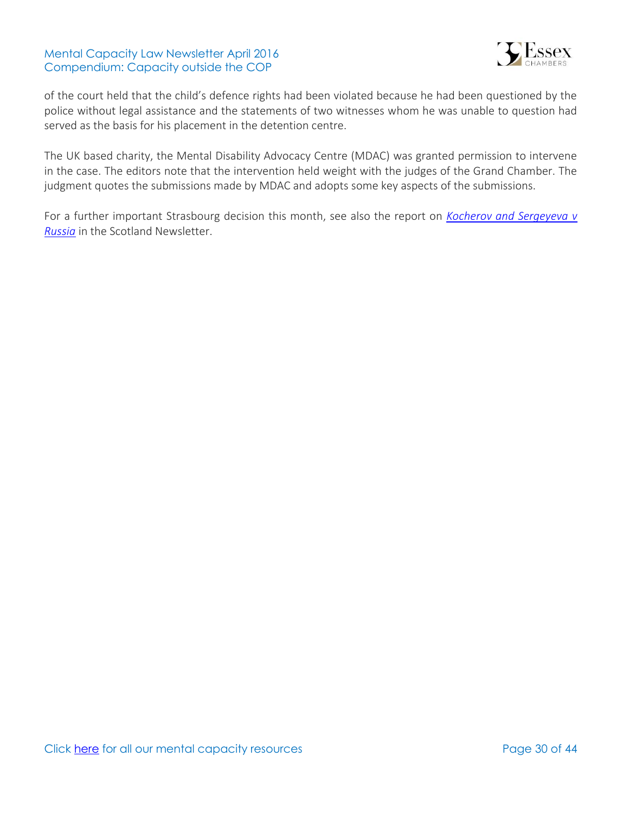

of the court held that the child's defence rights had been violated because he had been questioned by the police without legal assistance and the statements of two witnesses whom he was unable to question had served as the basis for his placement in the detention centre.

The UK based charity, the Mental Disability Advocacy Centre (MDAC) was granted permission to intervene in the case. The editors note that the intervention held weight with the judges of the Grand Chamber. The judgment quotes the submissions made by MDAC and adopts some key aspects of the submissions.

For a further important Strasbourg decision this month, see also the report on *[Kocherov and Sergeyeva v](http://www.bailii.org/eu/cases/ECHR/2016/312.html)  [Russia](http://www.bailii.org/eu/cases/ECHR/2016/312.html)* in the Scotland Newsletter.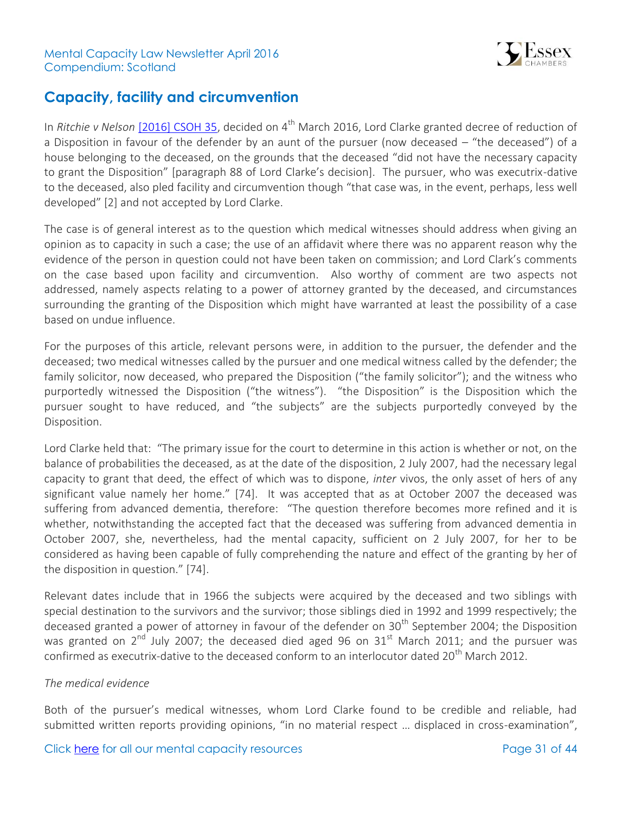

## <span id="page-30-0"></span>**Capacity, facility and circumvention**

In *Ritchie v Nelson* [\[2016\] CSOH 35,](http://www.bailii.org/scot/cases/ScotCS/2016/%5b2016%5dCSOH35.html) decided on 4<sup>th</sup> March 2016, Lord Clarke granted decree of reduction of a Disposition in favour of the defender by an aunt of the pursuer (now deceased – "the deceased") of a house belonging to the deceased, on the grounds that the deceased "did not have the necessary capacity to grant the Disposition" [paragraph 88 of Lord Clarke's decision]. The pursuer, who was executrix-dative to the deceased, also pled facility and circumvention though "that case was, in the event, perhaps, less well developed" [2] and not accepted by Lord Clarke.

The case is of general interest as to the question which medical witnesses should address when giving an opinion as to capacity in such a case; the use of an affidavit where there was no apparent reason why the evidence of the person in question could not have been taken on commission; and Lord Clark's comments on the case based upon facility and circumvention. Also worthy of comment are two aspects not addressed, namely aspects relating to a power of attorney granted by the deceased, and circumstances surrounding the granting of the Disposition which might have warranted at least the possibility of a case based on undue influence.

For the purposes of this article, relevant persons were, in addition to the pursuer, the defender and the deceased; two medical witnesses called by the pursuer and one medical witness called by the defender; the family solicitor, now deceased, who prepared the Disposition ("the family solicitor"); and the witness who purportedly witnessed the Disposition ("the witness"). "the Disposition" is the Disposition which the pursuer sought to have reduced, and "the subjects" are the subjects purportedly conveyed by the Disposition.

Lord Clarke held that: "The primary issue for the court to determine in this action is whether or not, on the balance of probabilities the deceased, as at the date of the disposition, 2 July 2007, had the necessary legal capacity to grant that deed, the effect of which was to dispone, *inter* vivos, the only asset of hers of any significant value namely her home." [74]. It was accepted that as at October 2007 the deceased was suffering from advanced dementia, therefore: "The question therefore becomes more refined and it is whether, notwithstanding the accepted fact that the deceased was suffering from advanced dementia in October 2007, she, nevertheless, had the mental capacity, sufficient on 2 July 2007, for her to be considered as having been capable of fully comprehending the nature and effect of the granting by her of the disposition in question." [74].

Relevant dates include that in 1966 the subjects were acquired by the deceased and two siblings with special destination to the survivors and the survivor; those siblings died in 1992 and 1999 respectively; the deceased granted a power of attorney in favour of the defender on  $30<sup>th</sup>$  September 2004; the Disposition was granted on  $2^{nd}$  July 2007; the deceased died aged 96 on 31<sup>st</sup> March 2011; and the pursuer was confirmed as executrix-dative to the deceased conform to an interlocutor dated 20<sup>th</sup> March 2012.

### *The medical evidence*

Both of the pursuer's medical witnesses, whom Lord Clarke found to be credible and reliable, had submitted written reports providing opinions, "in no material respect … displaced in cross-examination",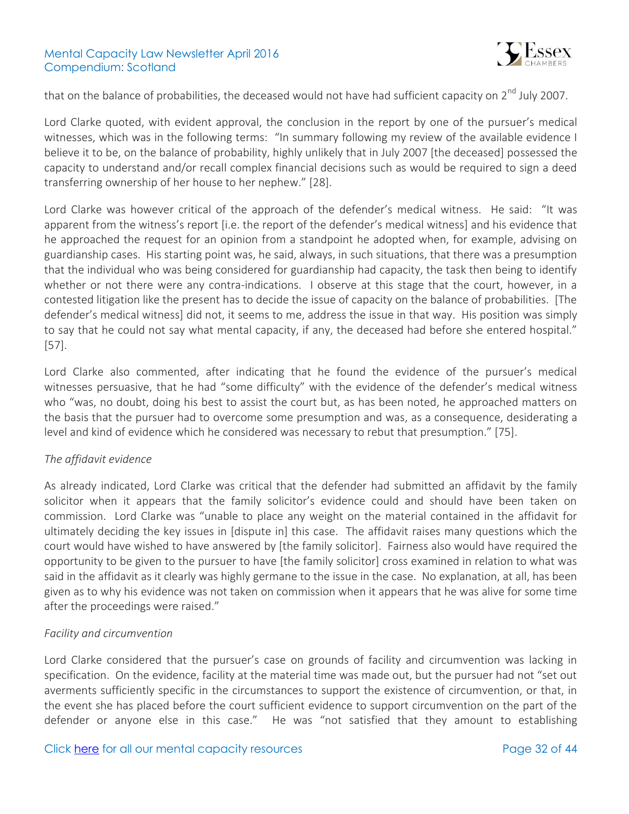

that on the balance of probabilities, the deceased would not have had sufficient capacity on 2<sup>nd</sup> July 2007.

Lord Clarke quoted, with evident approval, the conclusion in the report by one of the pursuer's medical witnesses, which was in the following terms: "In summary following my review of the available evidence I believe it to be, on the balance of probability, highly unlikely that in July 2007 [the deceased] possessed the capacity to understand and/or recall complex financial decisions such as would be required to sign a deed transferring ownership of her house to her nephew." [28].

Lord Clarke was however critical of the approach of the defender's medical witness. He said: "It was apparent from the witness's report [i.e. the report of the defender's medical witness] and his evidence that he approached the request for an opinion from a standpoint he adopted when, for example, advising on guardianship cases. His starting point was, he said, always, in such situations, that there was a presumption that the individual who was being considered for guardianship had capacity, the task then being to identify whether or not there were any contra-indications. I observe at this stage that the court, however, in a contested litigation like the present has to decide the issue of capacity on the balance of probabilities. [The defender's medical witness] did not, it seems to me, address the issue in that way. His position was simply to say that he could not say what mental capacity, if any, the deceased had before she entered hospital." [57].

Lord Clarke also commented, after indicating that he found the evidence of the pursuer's medical witnesses persuasive, that he had "some difficulty" with the evidence of the defender's medical witness who "was, no doubt, doing his best to assist the court but, as has been noted, he approached matters on the basis that the pursuer had to overcome some presumption and was, as a consequence, desiderating a level and kind of evidence which he considered was necessary to rebut that presumption." [75].

### *The affidavit evidence*

As already indicated, Lord Clarke was critical that the defender had submitted an affidavit by the family solicitor when it appears that the family solicitor's evidence could and should have been taken on commission. Lord Clarke was "unable to place any weight on the material contained in the affidavit for ultimately deciding the key issues in [dispute in] this case. The affidavit raises many questions which the court would have wished to have answered by [the family solicitor]. Fairness also would have required the opportunity to be given to the pursuer to have [the family solicitor] cross examined in relation to what was said in the affidavit as it clearly was highly germane to the issue in the case. No explanation, at all, has been given as to why his evidence was not taken on commission when it appears that he was alive for some time after the proceedings were raised."

#### *Facility and circumvention*

Lord Clarke considered that the pursuer's case on grounds of facility and circumvention was lacking in specification. On the evidence, facility at the material time was made out, but the pursuer had not "set out averments sufficiently specific in the circumstances to support the existence of circumvention, or that, in the event she has placed before the court sufficient evidence to support circumvention on the part of the defender or anyone else in this case." He was "not satisfied that they amount to establishing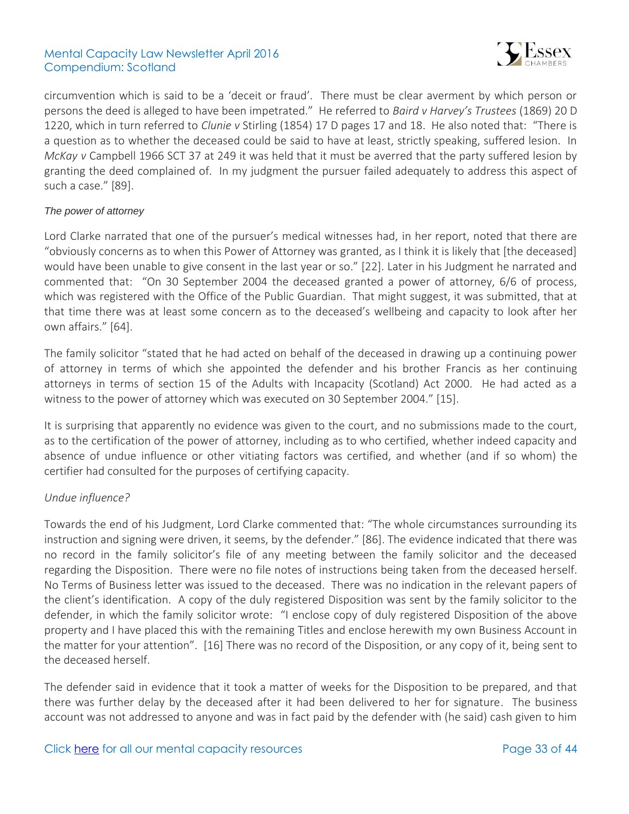

circumvention which is said to be a 'deceit or fraud'. There must be clear averment by which person or persons the deed is alleged to have been impetrated." He referred to *Baird v Harvey's Trustees* (1869) 20 D 1220, which in turn referred to *Clunie v* Stirling (1854) 17 D pages 17 and 18. He also noted that: "There is a question as to whether the deceased could be said to have at least, strictly speaking, suffered lesion. In *McKay v* Campbell 1966 SCT 37 at 249 it was held that it must be averred that the party suffered lesion by granting the deed complained of. In my judgment the pursuer failed adequately to address this aspect of such a case." [89].

### *The power of attorney*

Lord Clarke narrated that one of the pursuer's medical witnesses had, in her report, noted that there are "obviously concerns as to when this Power of Attorney was granted, as I think it is likely that [the deceased] would have been unable to give consent in the last year or so." [22]. Later in his Judgment he narrated and commented that: "On 30 September 2004 the deceased granted a power of attorney, 6/6 of process, which was registered with the Office of the Public Guardian. That might suggest, it was submitted, that at that time there was at least some concern as to the deceased's wellbeing and capacity to look after her own affairs." [64].

The family solicitor "stated that he had acted on behalf of the deceased in drawing up a continuing power of attorney in terms of which she appointed the defender and his brother Francis as her continuing attorneys in terms of section 15 of the Adults with Incapacity (Scotland) Act 2000. He had acted as a witness to the power of attorney which was executed on 30 September 2004." [15].

It is surprising that apparently no evidence was given to the court, and no submissions made to the court, as to the certification of the power of attorney, including as to who certified, whether indeed capacity and absence of undue influence or other vitiating factors was certified, and whether (and if so whom) the certifier had consulted for the purposes of certifying capacity.

### *Undue influence?*

Towards the end of his Judgment, Lord Clarke commented that: "The whole circumstances surrounding its instruction and signing were driven, it seems, by the defender." [86]. The evidence indicated that there was no record in the family solicitor's file of any meeting between the family solicitor and the deceased regarding the Disposition. There were no file notes of instructions being taken from the deceased herself. No Terms of Business letter was issued to the deceased. There was no indication in the relevant papers of the client's identification. A copy of the duly registered Disposition was sent by the family solicitor to the defender, in which the family solicitor wrote: "I enclose copy of duly registered Disposition of the above property and I have placed this with the remaining Titles and enclose herewith my own Business Account in the matter for your attention". [16] There was no record of the Disposition, or any copy of it, being sent to the deceased herself.

The defender said in evidence that it took a matter of weeks for the Disposition to be prepared, and that there was further delay by the deceased after it had been delivered to her for signature. The business account was not addressed to anyone and was in fact paid by the defender with (he said) cash given to him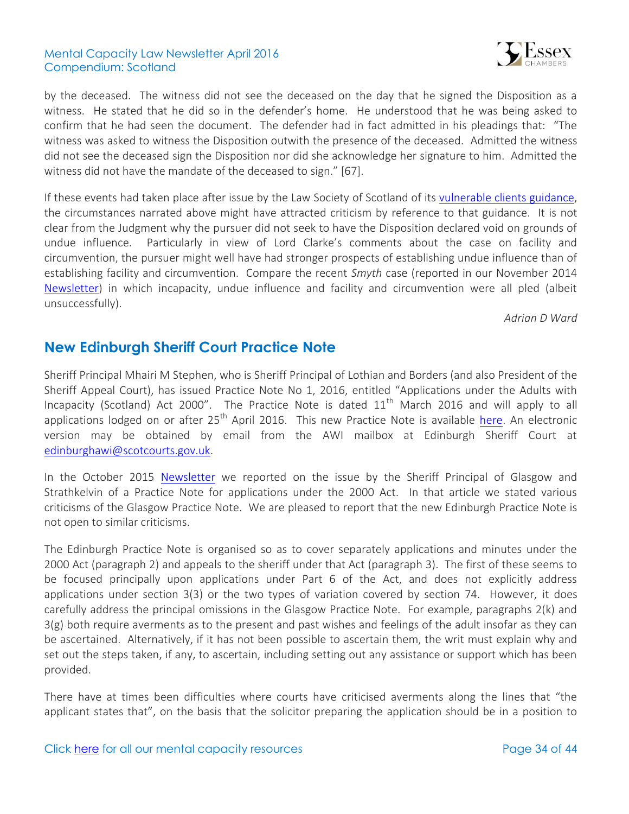

by the deceased. The witness did not see the deceased on the day that he signed the Disposition as a witness. He stated that he did so in the defender's home. He understood that he was being asked to confirm that he had seen the document. The defender had in fact admitted in his pleadings that: "The witness was asked to witness the Disposition outwith the presence of the deceased. Admitted the witness did not see the deceased sign the Disposition nor did she acknowledge her signature to him. Admitted the witness did not have the mandate of the deceased to sign." [67].

If these events had taken place after issue by the Law Society of Scotland of its [vulnerable clients guidance,](http://www.lawscot.org.uk/rules-and-guidance/section-b/rule-b1-standards-of-conduct/guidance/b15-vulnerable-clients-guidance/) the circumstances narrated above might have attracted criticism by reference to that guidance. It is not clear from the Judgment why the pursuer did not seek to have the Disposition declared void on grounds of undue influence. Particularly in view of Lord Clarke's comments about the case on facility and circumvention, the pursuer might well have had stronger prospects of establishing undue influence than of establishing facility and circumvention. Compare the recent *Smyth* case (reported in our November 2014 [Newsletter\)](http://www.39essex.com/mental-capacity-law-scotland-newsletter-november-2014/) in which incapacity, undue influence and facility and circumvention were all pled (albeit unsuccessfully).

*Adrian D Ward*

### <span id="page-33-0"></span>**New Edinburgh Sheriff Court Practice Note**

Sheriff Principal Mhairi M Stephen, who is Sheriff Principal of Lothian and Borders (and also President of the Sheriff Appeal Court), has issued Practice Note No 1, 2016, entitled "Applications under the Adults with Incapacity (Scotland) Act 2000". The Practice Note is dated  $11<sup>th</sup>$  March 2016 and will apply to all applications lodged on or after  $25<sup>th</sup>$  April 2016. This new Practice Note is available [here.](http://www.scotcourts.gov.uk/rules-and-practice/practice-notes/sheriff-court-practice-notes-(civil)) An electronic version may be obtained by email from the AWI mailbox at Edinburgh Sheriff Court at [edinburghawi@scotcourts.gov.uk.](mailto:edinburghawi@scotcourts.gov.uk)

In the October 2015 [Newsletter](http://www.39essex.com/mental-capacity-law-newsletter-scotland-october-2015/) we reported on the issue by the Sheriff Principal of Glasgow and Strathkelvin of a Practice Note for applications under the 2000 Act. In that article we stated various criticisms of the Glasgow Practice Note. We are pleased to report that the new Edinburgh Practice Note is not open to similar criticisms.

The Edinburgh Practice Note is organised so as to cover separately applications and minutes under the 2000 Act (paragraph 2) and appeals to the sheriff under that Act (paragraph 3). The first of these seems to be focused principally upon applications under Part 6 of the Act, and does not explicitly address applications under section 3(3) or the two types of variation covered by section 74. However, it does carefully address the principal omissions in the Glasgow Practice Note. For example, paragraphs 2(k) and 3(g) both require averments as to the present and past wishes and feelings of the adult insofar as they can be ascertained. Alternatively, if it has not been possible to ascertain them, the writ must explain why and set out the steps taken, if any, to ascertain, including setting out any assistance or support which has been provided.

There have at times been difficulties where courts have criticised averments along the lines that "the applicant states that", on the basis that the solicitor preparing the application should be in a position to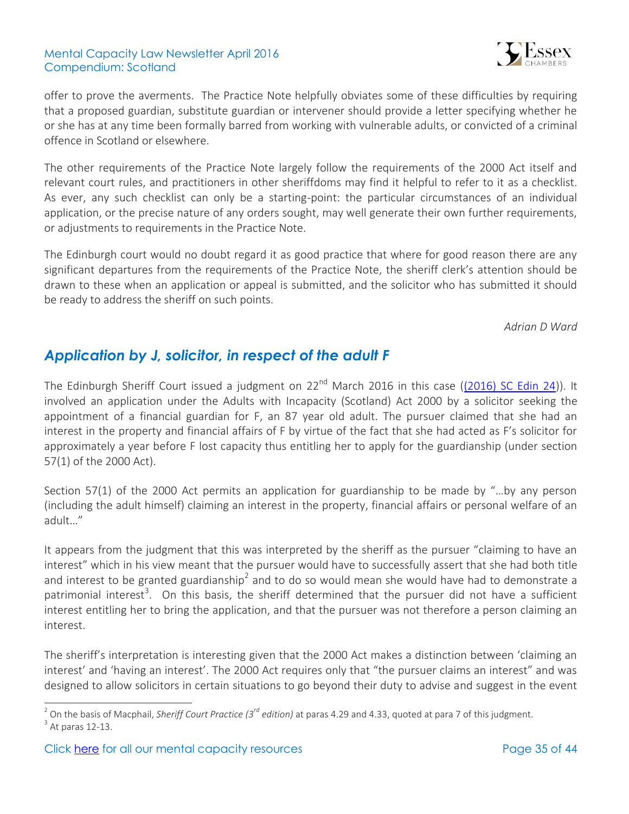

offer to prove the averments. The Practice Note helpfully obviates some of these difficulties by requiring that a proposed guardian, substitute guardian or intervener should provide a letter specifying whether he or she has at any time been formally barred from working with vulnerable adults, or convicted of a criminal offence in Scotland or elsewhere.

The other requirements of the Practice Note largely follow the requirements of the 2000 Act itself and relevant court rules, and practitioners in other sheriffdoms may find it helpful to refer to it as a checklist. As ever, any such checklist can only be a starting-point: the particular circumstances of an individual application, or the precise nature of any orders sought, may well generate their own further requirements, or adjustments to requirements in the Practice Note.

The Edinburgh court would no doubt regard it as good practice that where for good reason there are any significant departures from the requirements of the Practice Note, the sheriff clerk's attention should be drawn to these when an application or appeal is submitted, and the solicitor who has submitted it should be ready to address the sheriff on such points.

*Adrian D Ward*

## <span id="page-34-0"></span>*Application by J, solicitor, in respect of the adult F*

The Edinburgh Sheriff Court issued a judgment on  $22^{nd}$  March 2016 in this case [\(\(2016\) SC Edin 24\)](https://www.scotcourts.gov.uk/search-judgments/judgment?id=f3090fa7-8980-69d2-b500-ff0000d74aa7)). It involved an application under the Adults with Incapacity (Scotland) Act 2000 by a solicitor seeking the appointment of a financial guardian for F, an 87 year old adult. The pursuer claimed that she had an interest in the property and financial affairs of F by virtue of the fact that she had acted as F's solicitor for approximately a year before F lost capacity thus entitling her to apply for the guardianship (under section 57(1) of the 2000 Act).

Section 57(1) of the 2000 Act permits an application for guardianship to be made by "…by any person (including the adult himself) claiming an interest in the property, financial affairs or personal welfare of an adult…"

It appears from the judgment that this was interpreted by the sheriff as the pursuer "claiming to have an interest" which in his view meant that the pursuer would have to successfully assert that she had both title and interest to be granted guardianship<sup>2</sup> and to do so would mean she would have had to demonstrate a patrimonial interest<sup>3</sup>. On this basis, the sheriff determined that the pursuer did not have a sufficient interest entitling her to bring the application, and that the pursuer was not therefore a person claiming an interest.

The sheriff's interpretation is interesting given that the 2000 Act makes a distinction between 'claiming an interest' and 'having an interest'. The 2000 Act requires only that "the pursuer claims an interest" and was designed to allow solicitors in certain situations to go beyond their duty to advise and suggest in the event

 2 On the basis of Macphail, *Sheriff Court Practice (3rd edition)* at paras 4.29 and 4.33, quoted at para 7 of this judgment.  $3$  At paras 12-13.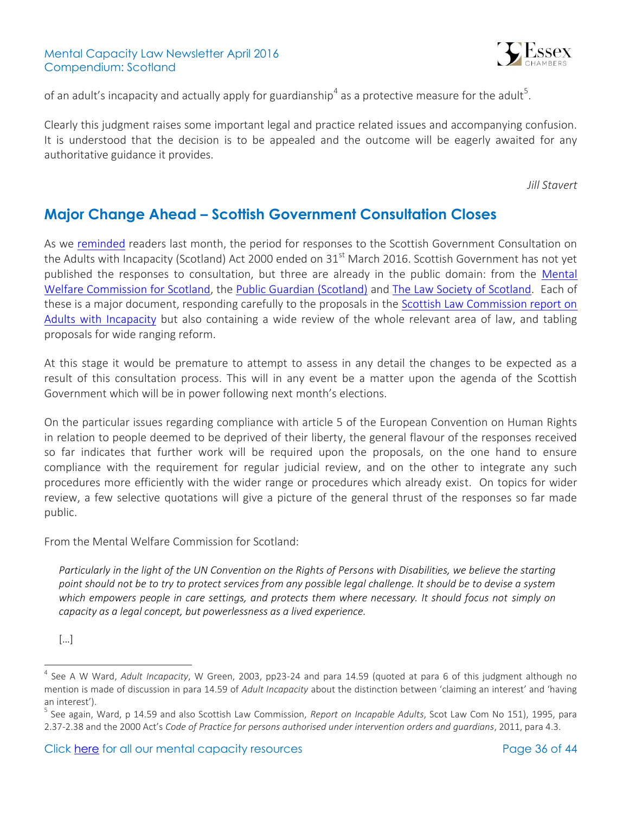

of an adult's incapacity and actually apply for guardianship<sup>4</sup> as a protective measure for the adult<sup>5</sup>.

Clearly this judgment raises some important legal and practice related issues and accompanying confusion. It is understood that the decision is to be appealed and the outcome will be eagerly awaited for any authoritative guidance it provides.

*Jill Stavert*

### <span id="page-35-0"></span>**Major Change Ahead – Scottish Government Consultation Closes**

As we [reminded](http://www.39essex.com/mental-capacity-newsletter-scotland-march-2016/) readers last month, the period for responses to the Scottish Government Consultation on the Adults with Incapacity (Scotland) Act 2000 ended on  $31<sup>st</sup>$  March 2016. Scottish Government has not yet published the responses to consultation, but three are already in the public domain: from the [Mental](http://www.mwcscot.org.uk/about-us/latest-news/commission-calls-for-major-reform-of-laws-to-protect-people-with-learning-disability-or-dementia/)  [Welfare Commission for Scotland,](http://www.mwcscot.org.uk/about-us/latest-news/commission-calls-for-major-reform-of-laws-to-protect-people-with-learning-disability-or-dementia/) the [Public Guardian \(Scotland\)](http://www.publicguardian-scotland.gov.uk/general/news/2016/04/12/public-guardian-response-to-consultation-on-awi-matters) and [The Law Society of Scotland.](http://www.lawscot.org.uk/news/2016/04/vulnerable-adult-protections-need-urgent-review/) Each of these is a major document, responding carefully to the proposals in the [Scottish Law Commission report on](http://www.scotlawcom.gov.uk/law-reform/law-reform-projects/completed-projects/adults-with-incapacity/)  [Adults with Incapacity](http://www.scotlawcom.gov.uk/law-reform/law-reform-projects/completed-projects/adults-with-incapacity/) but also containing a wide review of the whole relevant area of law, and tabling proposals for wide ranging reform.

At this stage it would be premature to attempt to assess in any detail the changes to be expected as a result of this consultation process. This will in any event be a matter upon the agenda of the Scottish Government which will be in power following next month's elections.

On the particular issues regarding compliance with article 5 of the European Convention on Human Rights in relation to people deemed to be deprived of their liberty, the general flavour of the responses received so far indicates that further work will be required upon the proposals, on the one hand to ensure compliance with the requirement for regular judicial review, and on the other to integrate any such procedures more efficiently with the wider range or procedures which already exist. On topics for wider review, a few selective quotations will give a picture of the general thrust of the responses so far made public.

From the Mental Welfare Commission for Scotland:

*Particularly in the light of the UN Convention on the Rights of Persons with Disabilities, we believe the starting point should not be to try to protect services from any possible legal challenge. It should be to devise a system which empowers people in care settings, and protects them where necessary. It should focus not simply on capacity as a legal concept, but powerlessness as a lived experience.*

 $\overline{a}$ 

<sup>[…]</sup>

<sup>4</sup> See A W Ward, *Adult Incapacity*, W Green, 2003, pp23-24 and para 14.59 (quoted at para 6 of this judgment although no mention is made of discussion in para 14.59 of *Adult Incapacity* about the distinction between 'claiming an interest' and 'having an interest').

<sup>5</sup> See again, Ward, p 14.59 and also Scottish Law Commission, *Report on Incapable Adults*, Scot Law Com No 151), 1995, para 2.37-2.38 and the 2000 Act's *Code of Practice for persons authorised under intervention orders and guardians*, 2011, para 4.3.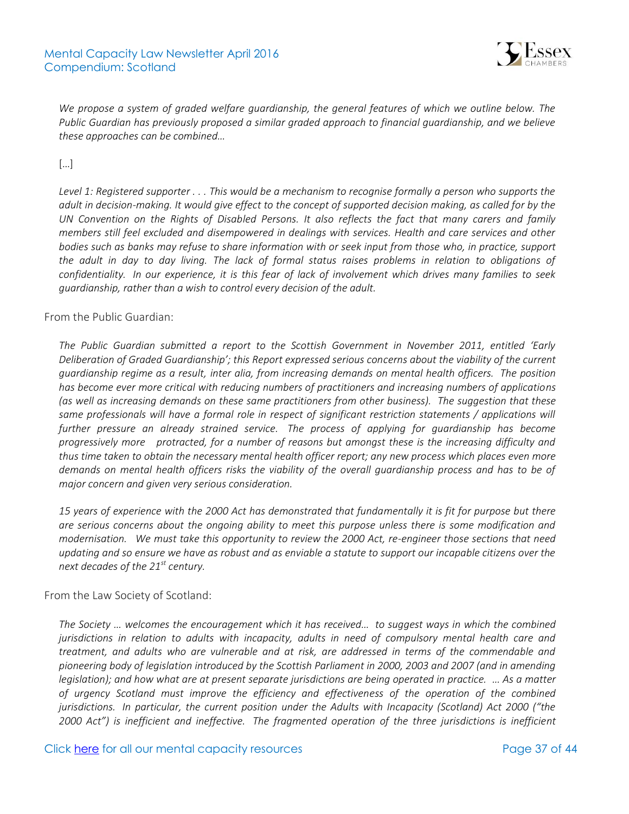

*We propose a system of graded welfare guardianship, the general features of which we outline below. The Public Guardian has previously proposed a similar graded approach to financial guardianship, and we believe these approaches can be combined…* 

[…]

*Level 1: Registered supporter . . . This would be a mechanism to recognise formally a person who supports the adult in decision-making. It would give effect to the concept of supported decision making, as called for by the UN Convention on the Rights of Disabled Persons. It also reflects the fact that many carers and family members still feel excluded and disempowered in dealings with services. Health and care services and other bodies such as banks may refuse to share information with or seek input from those who, in practice, support the adult in day to day living. The lack of formal status raises problems in relation to obligations of confidentiality. In our experience, it is this fear of lack of involvement which drives many families to seek guardianship, rather than a wish to control every decision of the adult.*

### From the Public Guardian:

*The Public Guardian submitted a report to the Scottish Government in November 2011, entitled 'Early Deliberation of Graded Guardianship'; this Report expressed serious concerns about the viability of the current guardianship regime as a result, inter alia, from increasing demands on mental health officers. The position has become ever more critical with reducing numbers of practitioners and increasing numbers of applications (as well as increasing demands on these same practitioners from other business). The suggestion that these*  same professionals will have a formal role in respect of significant restriction statements / applications will *further pressure an already strained service. The process of applying for guardianship has become progressively more protracted, for a number of reasons but amongst these is the increasing difficulty and thus time taken to obtain the necessary mental health officer report; any new process which places even more demands on mental health officers risks the viability of the overall guardianship process and has to be of major concern and given very serious consideration.*

*15 years of experience with the 2000 Act has demonstrated that fundamentally it is fit for purpose but there are serious concerns about the ongoing ability to meet this purpose unless there is some modification and modernisation. We must take this opportunity to review the 2000 Act, re-engineer those sections that need updating and so ensure we have as robust and as enviable a statute to support our incapable citizens over the next decades of the 21st century.*

#### From the Law Society of Scotland:

*The Society … welcomes the encouragement which it has received… to suggest ways in which the combined jurisdictions in relation to adults with incapacity, adults in need of compulsory mental health care and treatment, and adults who are vulnerable and at risk, are addressed in terms of the commendable and pioneering body of legislation introduced by the Scottish Parliament in 2000, 2003 and 2007 (and in amending legislation); and how what are at present separate jurisdictions are being operated in practice. … As a matter of urgency Scotland must improve the efficiency and effectiveness of the operation of the combined jurisdictions. In particular, the current position under the Adults with Incapacity (Scotland) Act 2000 ("the 2000 Act") is inefficient and ineffective. The fragmented operation of the three jurisdictions is inefficient*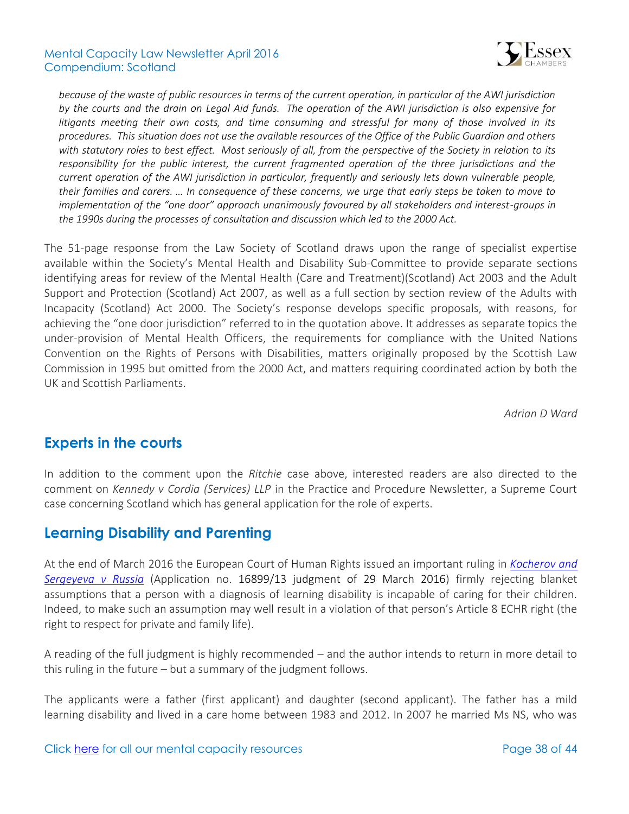

*because of the waste of public resources in terms of the current operation, in particular of the AWI jurisdiction by the courts and the drain on Legal Aid funds. The operation of the AWI jurisdiction is also expensive for litigants meeting their own costs, and time consuming and stressful for many of those involved in its procedures. This situation does not use the available resources of the Office of the Public Guardian and others with statutory roles to best effect. Most seriously of all, from the perspective of the Society in relation to its responsibility for the public interest, the current fragmented operation of the three jurisdictions and the current operation of the AWI jurisdiction in particular, frequently and seriously lets down vulnerable people, their families and carers. … In consequence of these concerns, we urge that early steps be taken to move to implementation of the "one door" approach unanimously favoured by all stakeholders and interest-groups in the 1990s during the processes of consultation and discussion which led to the 2000 Act.* 

The 51-page response from the Law Society of Scotland draws upon the range of specialist expertise available within the Society's Mental Health and Disability Sub-Committee to provide separate sections identifying areas for review of the Mental Health (Care and Treatment)(Scotland) Act 2003 and the Adult Support and Protection (Scotland) Act 2007, as well as a full section by section review of the Adults with Incapacity (Scotland) Act 2000. The Society's response develops specific proposals, with reasons, for achieving the "one door jurisdiction" referred to in the quotation above. It addresses as separate topics the under-provision of Mental Health Officers, the requirements for compliance with the United Nations Convention on the Rights of Persons with Disabilities, matters originally proposed by the Scottish Law Commission in 1995 but omitted from the 2000 Act, and matters requiring coordinated action by both the UK and Scottish Parliaments.

*Adrian D Ward*

### <span id="page-37-0"></span>**Experts in the courts**

In addition to the comment upon the *Ritchie* case above, interested readers are also directed to the comment on *Kennedy v Cordia (Services) LLP* in the Practice and Procedure Newsletter, a Supreme Court case concerning Scotland which has general application for the role of experts.

### <span id="page-37-1"></span>**Learning Disability and Parenting**

At the end of March 2016 the European Court of Human Rights issued an important ruling in *[Kocherov and](http://www.bailii.org/eu/cases/ECHR/2016/312.html)  [Sergeyeva v Russia](http://www.bailii.org/eu/cases/ECHR/2016/312.html)* (Application no. [16899/13](http://hudoc.echr.coe.int/eng#%7B%22appno%22:[%2216899/13%22]%7D) judgment of 29 March 2016) firmly rejecting blanket assumptions that a person with a diagnosis of learning disability is incapable of caring for their children. Indeed, to make such an assumption may well result in a violation of that person's Article 8 ECHR right (the right to respect for private and family life).

A reading of the full judgment is highly recommended – and the author intends to return in more detail to this ruling in the future – but a summary of the judgment follows.

The applicants were a father (first applicant) and daughter (second applicant). The father has a mild learning disability and lived in a care home between 1983 and 2012. In 2007 he married Ms NS, who was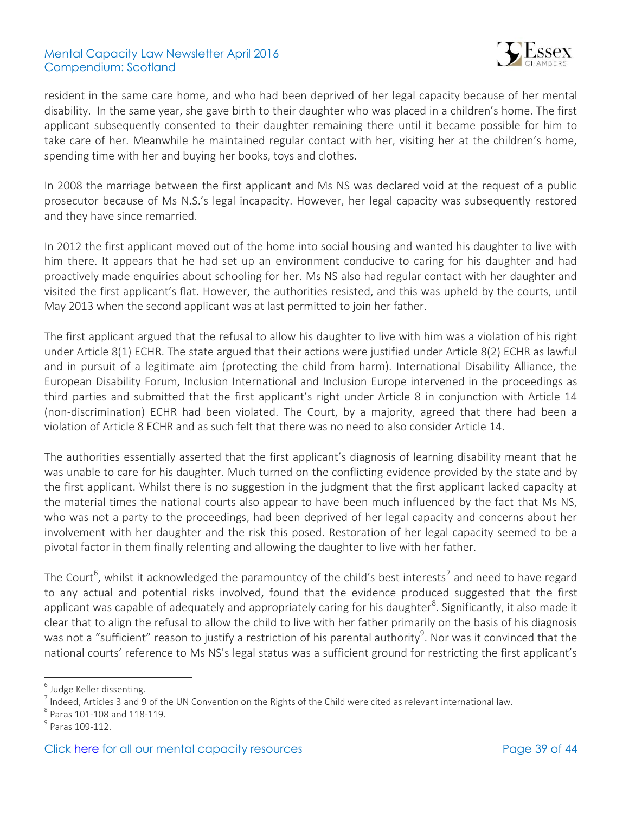

resident in the same care home, and who had been deprived of her legal capacity because of her mental disability. In the same year, she gave birth to their daughter who was placed in a children's home. The first applicant subsequently consented to their daughter remaining there until it became possible for him to take care of her. Meanwhile he maintained regular contact with her, visiting her at the children's home, spending time with her and buying her books, toys and clothes.

In 2008 the marriage between the first applicant and Ms NS was declared void at the request of a public prosecutor because of Ms N.S.'s legal incapacity. However, her legal capacity was subsequently restored and they have since remarried.

In 2012 the first applicant moved out of the home into social housing and wanted his daughter to live with him there. It appears that he had set up an environment conducive to caring for his daughter and had proactively made enquiries about schooling for her. Ms NS also had regular contact with her daughter and visited the first applicant's flat. However, the authorities resisted, and this was upheld by the courts, until May 2013 when the second applicant was at last permitted to join her father.

The first applicant argued that the refusal to allow his daughter to live with him was a violation of his right under Article 8(1) ECHR. The state argued that their actions were justified under Article 8(2) ECHR as lawful and in pursuit of a legitimate aim (protecting the child from harm). International Disability Alliance, the European Disability Forum, Inclusion International and Inclusion Europe intervened in the proceedings as third parties and submitted that the first applicant's right under Article 8 in conjunction with Article 14 (non-discrimination) ECHR had been violated. The Court, by a majority, agreed that there had been a violation of Article 8 ECHR and as such felt that there was no need to also consider Article 14.

The authorities essentially asserted that the first applicant's diagnosis of learning disability meant that he was unable to care for his daughter. Much turned on the conflicting evidence provided by the state and by the first applicant. Whilst there is no suggestion in the judgment that the first applicant lacked capacity at the material times the national courts also appear to have been much influenced by the fact that Ms NS, who was not a party to the proceedings, had been deprived of her legal capacity and concerns about her involvement with her daughter and the risk this posed. Restoration of her legal capacity seemed to be a pivotal factor in them finally relenting and allowing the daughter to live with her father.

The Court<sup>6</sup>, whilst it acknowledged the paramountcy of the child's best interests<sup>7</sup> and need to have regard to any actual and potential risks involved, found that the evidence produced suggested that the first applicant was capable of adequately and appropriately caring for his daughter<sup>8</sup>. Significantly, it also made it clear that to align the refusal to allow the child to live with her father primarily on the basis of his diagnosis was not a "sufficient" reason to justify a restriction of his parental authority $^9$ . Nor was it convinced that the national courts' reference to Ms NS's legal status was a sufficient ground for restricting the first applicant's

í

<sup>&</sup>lt;sup>6</sup> Judge Keller dissenting.

 $^7$  Indeed, Articles 3 and 9 of the UN Convention on the Rights of the Child were cited as relevant international law.

<sup>8</sup> Paras 101-108 and 118-119.

<sup>&</sup>lt;sup>9</sup> Paras 109-112.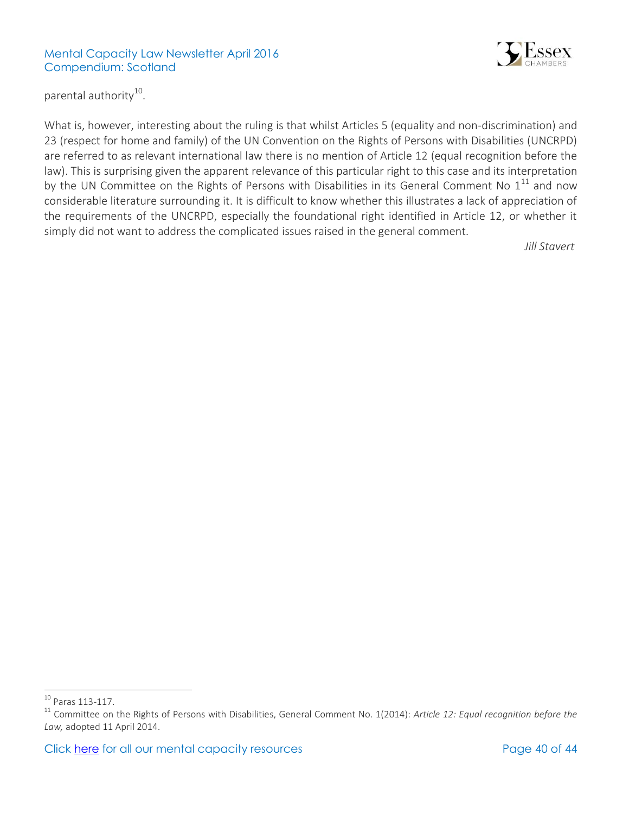

parental authority<sup>10</sup>.

What is, however, interesting about the ruling is that whilst Articles 5 (equality and non-discrimination) and 23 (respect for home and family) of the UN Convention on the Rights of Persons with Disabilities (UNCRPD) are referred to as relevant international law there is no mention of Article 12 (equal recognition before the law). This is surprising given the apparent relevance of this particular right to this case and its interpretation by the UN Committee on the Rights of Persons with Disabilities in its General Comment No  $1^{11}$  and now considerable literature surrounding it. It is difficult to know whether this illustrates a lack of appreciation of the requirements of the UNCRPD, especially the foundational right identified in Article 12, or whether it simply did not want to address the complicated issues raised in the general comment.

*Jill Stavert*

 $\overline{a}$ 

 $10$  Paras 113-117.

<sup>11</sup> Committee on the Rights of Persons with Disabilities, General Comment No. 1(2014): *Article 12: Equal recognition before the Law,* adopted 11 April 2014.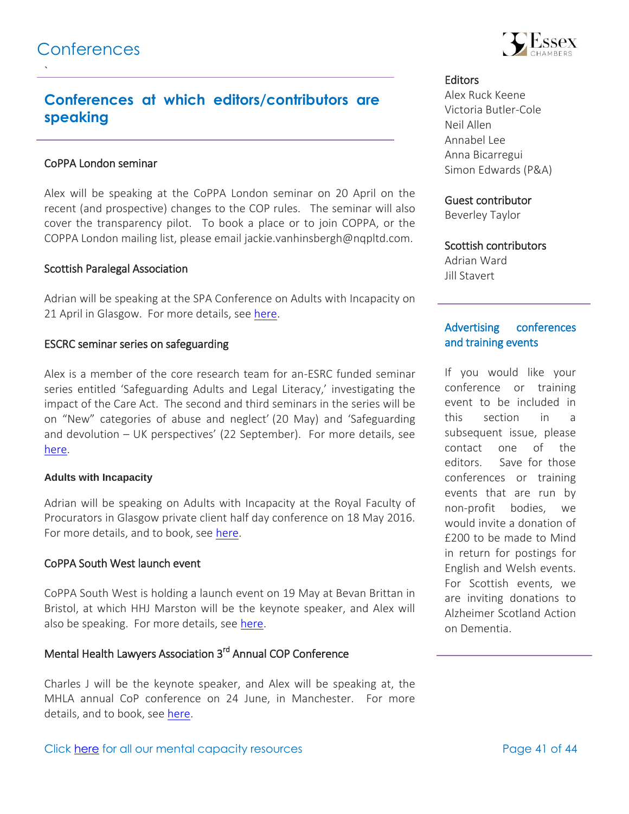<span id="page-40-0"></span>`

## **Conferences at which editors/contributors are speaking**

#### CoPPA London seminar

Alex will be speaking at the CoPPA London seminar on 20 April on the recent (and prospective) changes to the COP rules. The seminar will also cover the transparency pilot. To book a place or to join COPPA, or the COPPA London mailing list, please email [jackie.vanhinsbergh@nqpltd.com.](mailto:jackie.vanhinsbergh@nqpltd.com)

#### Scottish Paralegal Association

Adrian will be speaking at the SPA Conference on Adults with Incapacity on 21 April in Glasgow. For more details, see [here.](http://www.scottish-paralegal.org.uk/news/2015/a-date-for-your-diary.aspx)

#### ESCRC seminar series on safeguarding

Alex is a member of the core research team for an-ESRC funded seminar series entitled 'Safeguarding Adults and Legal Literacy,' investigating the impact of the Care Act. The second and third seminars in the series will be on "New" categories of abuse and neglect' (20 May) and 'Safeguarding and devolution – UK perspectives' (22 September). For more details, see [here.](https://safeguardingadults.wordpress.com/)

#### **Adults with Incapacity**

Adrian will be speaking on Adults with Incapacity at the Royal Faculty of Procurators in Glasgow private client half day conference on 18 May 2016. For more details, and to book, see [here.](http://www.rfpg.org/cpd/current-cpd-seminars-list/eventdetail/121/-/6a-private-client-half-day-conference)

#### CoPPA South West launch event

CoPPA South West is holding a launch event on 19 May at Bevan Brittan in Bristol, at which HHJ Marston will be the keynote speaker, and Alex will also be speaking. For more details, see [here.](https://www.clarkewillmott.com/elderly-care-court-of-protection/south-west-court-protection-practitioners-association-launch-event-19-may-2016/)

### Mental Health Lawyers Association 3<sup>rd</sup> Annual COP Conference

Charles J will be the keynote speaker, and Alex will be speaking at, the MHLA annual CoP conference on 24 June, in Manchester. For more details, and to book, see [here.](http://www.mhla.co.uk/events/court-of-protection-conference-manchester-24-jun-2016/)



#### **Editors**

Alex Ruck Keene Victoria Butler-Cole Neil Allen Annabel Lee Anna Bicarregui Simon Edwards (P&A)

#### Guest contributor

Beverley Taylor

### Scottish contributors

Adrian Ward Jill Stavert

### Advertising conferences and training events

If you would like your conference or training event to be included in this section in a subsequent issue, please contact one of the editors. Save for those conferences or training events that are run by non-profit bodies, we would invite a donation of £200 to be made to Mind in return for postings for English and Welsh events. For Scottish events, we are inviting donations to Alzheimer Scotland Action on Dementia.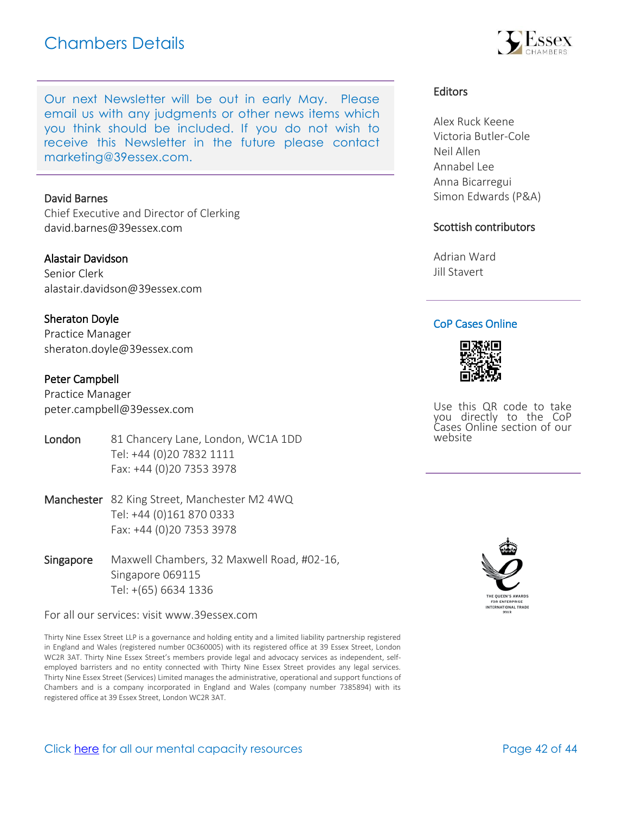# Chambers Details

Our next Newsletter will be out in early May. Please email us with any judgments or other news items which you think should be included. If you do not wish to receive this Newsletter in the future please con[tact](mailto:marketing@39essex.com)  [marketing@39essex.com.](mailto:marketing@39essex.com) 

#### David Barnes

Chief Executive and Director of Clerking [david.barnes@39essex.com](mailto:david.barnes@39essex.com)

#### Alastair Davidson

Senior Clerk [alastair.davidson@39essex.com](mailto:alastair.davidson@39essex.com)

#### Sheraton Doyle

Practice Manager [sheraton.doyle@39essex.com](mailto:sheraton.doyle@39essex.com)

#### Peter Campbell

Practice Manager [peter.campbell@39essex.com](mailto:peter.campbell@39essex.com)

- London 81 Chancery Lane, London, WC1A 1DD Tel: +44 (0)20 7832 1111 Fax: +44 (0)20 7353 3978
- Manchester 82 King Street, Manchester M2 4WQ Tel: +44 (0)161 870 0333 Fax: +44 (0)20 7353 3978
- Singapore Maxwell Chambers, 32 Maxwell Road, #02-16, Singapore 069115 Tel: +(65) 6634 1336

For all our services: visit www.39essex.com

Thirty Nine Essex Street LLP is a governance and holding entity and a limited liability partnership registered in England and Wales (registered number 0C360005) with its registered office at 39 Essex Street, London WC2R 3AT. Thirty Nine Essex Street's members provide legal and advocacy services as independent, selfemployed barristers and no entity connected with Thirty Nine Essex Street provides any legal services. Thirty Nine Essex Street (Services) Limited manages the administrative, operational and support functions of Chambers and is a company incorporated in England and Wales (company number 7385894) with its registered office at 39 Essex Street, London WC2R 3AT.



Alex Ruck Keene Victoria Butler-Cole Neil Allen Annabel Lee Anna Bicarregui Simon Edwards (P&A)

#### Scottish contributors

Adrian Ward Jill Stavert

#### CoP Cases Online



Use this QR code to take you directly to the CoP Cases Online section of our website



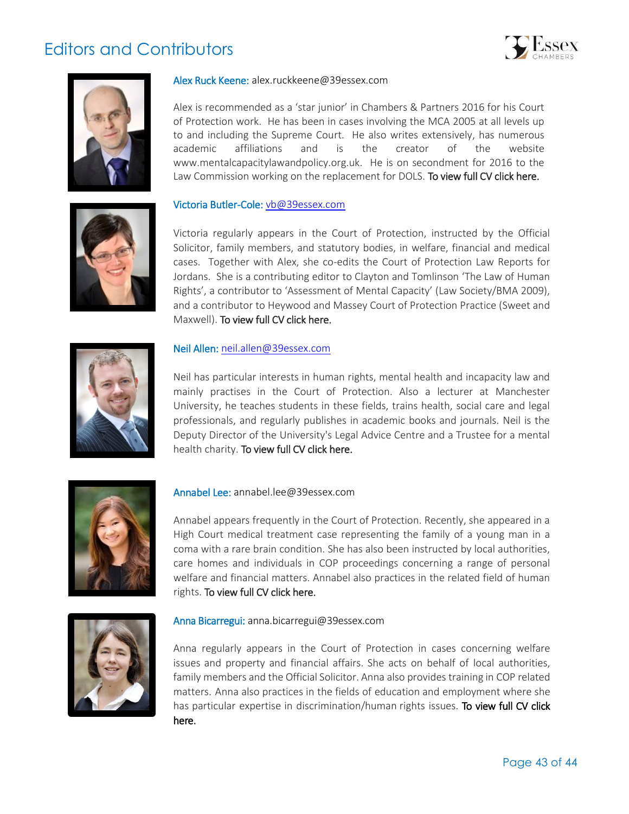# Editors and Contributors







#### Alex Ruck Keene: alex.ruckkeene@39essex.com

Alex is recommended as a 'star junior' in Chambers & Partners 2016 for his Court of Protection work. He has been in cases involving the MCA 2005 at all levels up to and including the Supreme Court. He also writes extensively, has numerous academic affiliations and is the creator of the website www.mentalcapacitylawandpolicy.org.uk. He is on secondment for 2016 to the Law Commission working on the replacement for DOLS. To view full CV click here.

#### Victoria Butler-Cole: [vb@39essex.com](mailto:vb@39essex.com)

Victoria regularly appears in the Court of Protection, instructed by the Official Solicitor, family members, and statutory bodies, in welfare, financial and medical cases. Together with Alex, she co-edits the Court of Protection Law Reports for Jordans. She is a contributing editor to Clayton and Tomlinson 'The Law of Human Rights', a contributor to 'Assessment of Mental Capacity' (Law Society/BMA 2009), and a contributor to Heywood and Massey Court of Protection Practice (Sweet and Maxwell). [To view full CV click here.](http://www.39essex.com/members/profile.php?cat=2&id=78) 



#### Neil Allen: [neil.allen@39essex.com](mailto:neil.allen@39essex.com)

Neil has particular interests in human rights, mental health and incapacity law and mainly practises in the Court of Protection. Also a lecturer at Manchester University, he teaches students in these fields, trains health, social care and legal professionals, and regularly publishes in academic books and journals. Neil is the Deputy Director of the University's Legal Advice Centre and a Trustee for a mental health charity. [To view full CV click here.](http://www.39essex.com/members/profile.php?cat=2&id=106) 



#### Annabel Lee: annabel.lee@39essex.com

Annabel appears frequently in the Court of Protection. Recently, she appeared in a High Court medical treatment case representing the family of a young man in a coma with a rare brain condition. She has also been instructed by local authorities, care homes and individuals in COP proceedings concerning a range of personal welfare and financial matters. Annabel also practices in the related field of human rights. To view full CV click here.



#### Anna Bicarregui: [anna.bicarregui@39essex.com](mailto:anna.bicarregui@39essex.com)

Anna regularly appears in the Court of Protection in cases concerning welfare issues and property and financial affairs. She acts on behalf of local authorities, family members and the Official Solicitor. Anna also provides training in COP related matters. Anna also practices in the fields of education and employment where she has particular expertise in discrimination/human rights issues. To view full CV click [here.](http://www.39essex.com/barrister/anna-bicarregui/)